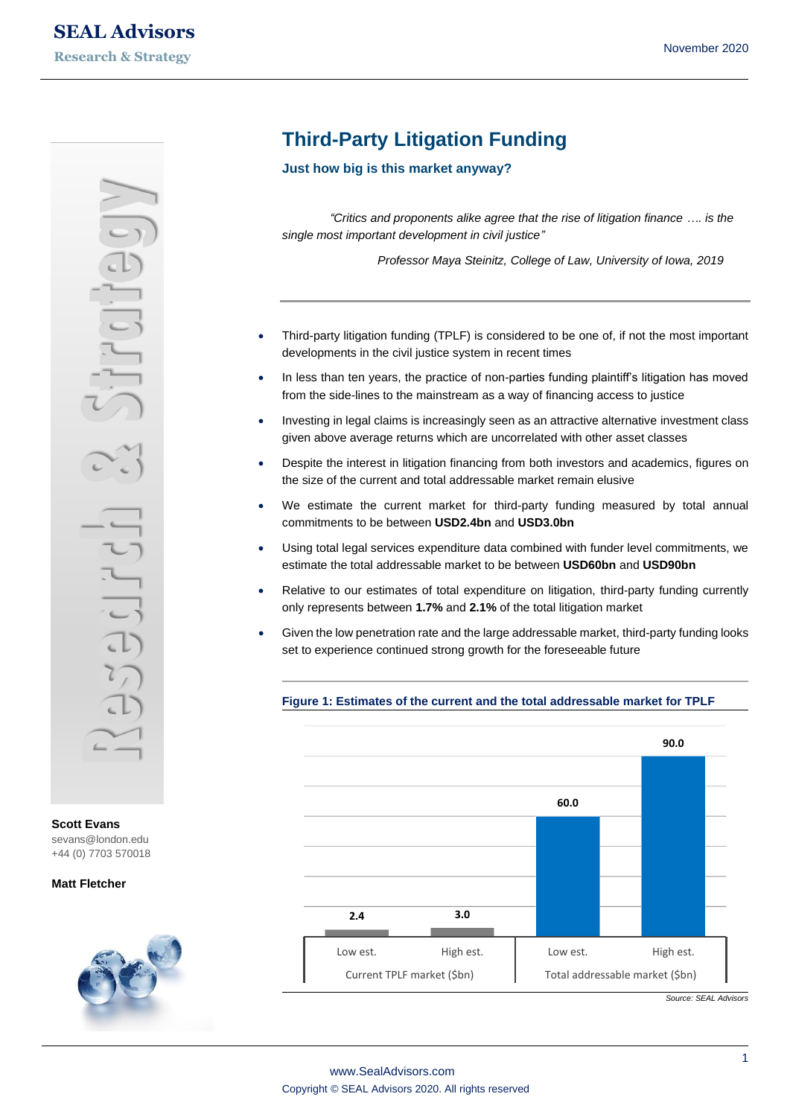**Scott Evans** [sevans@london.edu](mailto:sevans@london.edu) +44 (0) 7703 570018

## **Matt Fletcher**



# **Third-Party Litigation Funding**

**Just how big is this market anyway?**

*"Critics and proponents alike agree that the rise of litigation finance …. is the single most important development in civil justice"* 

*Professor Maya Steinitz, College of Law, University of Iowa, 2019*

- Third-party litigation funding (TPLF) is considered to be one of, if not the most important developments in the civil justice system in recent times
- In less than ten years, the practice of non-parties funding plaintiff's litigation has moved from the side-lines to the mainstream as a way of financing access to justice
- Investing in legal claims is increasingly seen as an attractive alternative investment class given above average returns which are uncorrelated with other asset classes
- Despite the interest in litigation financing from both investors and academics, figures on the size of the current and total addressable market remain elusive
- We estimate the current market for third-party funding measured by total annual commitments to be between **USD2.4bn** and **USD3.0bn**
- Using total legal services expenditure data combined with funder level commitments, we estimate the total addressable market to be between **USD60bn** and **USD90bn**
- Relative to our estimates of total expenditure on litigation, third-party funding currently only represents between **1.7%** and **2.1%** of the total litigation market
- Given the low penetration rate and the large addressable market, third-party funding looks set to experience continued strong growth for the foreseeable future



**Figure 1: Estimates of the current and the total addressable market for TPLF**

*Source: SEAL Advisors*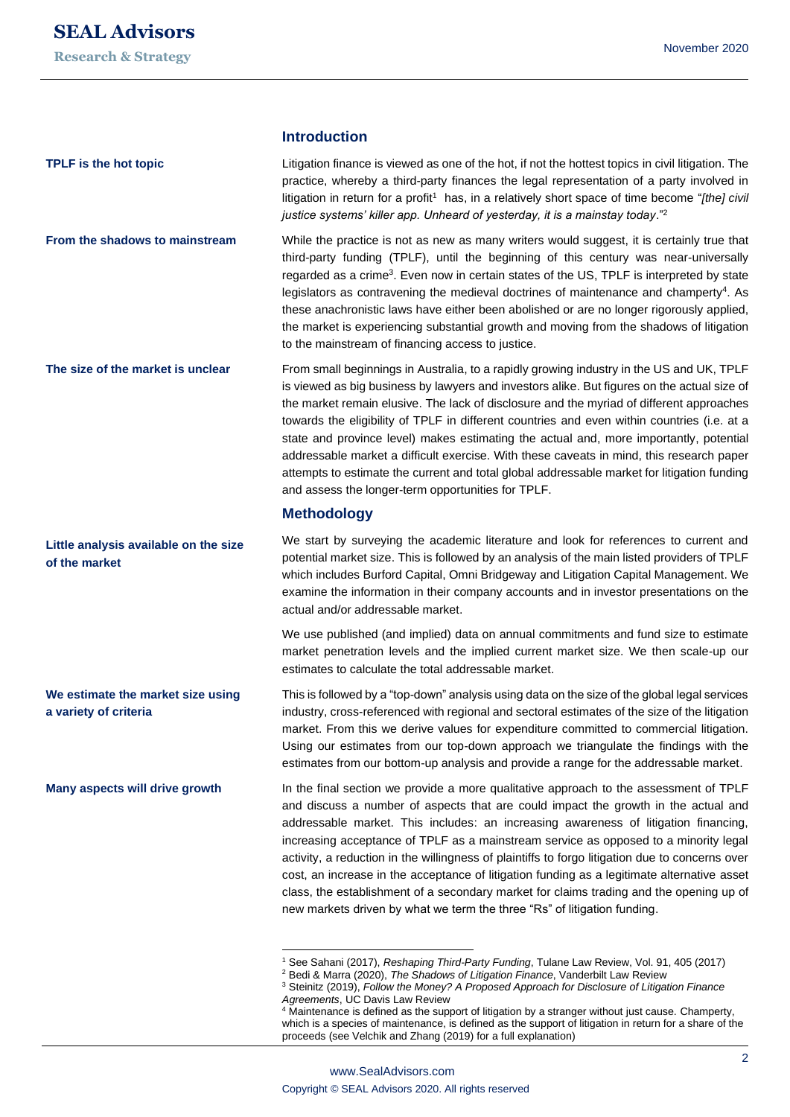**TPLF is the hot topic**

**Little analysis available on the size** 

**We estimate the market size using** 

**Many aspects will drive growth**

**of the market**

**a variety of criteria**

## **Introduction**

Litigation finance is viewed as one of the hot, if not the hottest topics in civil litigation. The practice, whereby a third-party finances the legal representation of a party involved in litigation in return for a profit<sup>1</sup> has, in a relatively short space of time become "*[the] civil justice systems' killer app. Unheard of yesterday, it is a mainstay today*."<sup>2</sup>

While the practice is not as new as many writers would suggest, it is certainly true that third-party funding (TPLF), until the beginning of this century was near-universally regarded as a crime<sup>3</sup>. Even now in certain states of the US, TPLF is interpreted by state legislators as contravening the medieval doctrines of maintenance and champerty<sup>4</sup>. As these anachronistic laws have either been abolished or are no longer rigorously applied, the market is experiencing substantial growth and moving from the shadows of litigation to the mainstream of financing access to justice. **From the shadows to mainstream**

From small beginnings in Australia, to a rapidly growing industry in the US and UK, TPLF is viewed as big business by lawyers and investors alike. But figures on the actual size of the market remain elusive. The lack of disclosure and the myriad of different approaches towards the eligibility of TPLF in different countries and even within countries (i.e. at a state and province level) makes estimating the actual and, more importantly, potential addressable market a difficult exercise. With these caveats in mind, this research paper attempts to estimate the current and total global addressable market for litigation funding and assess the longer-term opportunities for TPLF. **The size of the market is unclear**

## **Methodology**

We start by surveying the academic literature and look for references to current and potential market size. This is followed by an analysis of the main listed providers of TPLF which includes Burford Capital, Omni Bridgeway and Litigation Capital Management. We examine the information in their company accounts and in investor presentations on the actual and/or addressable market.

We use published (and implied) data on annual commitments and fund size to estimate market penetration levels and the implied current market size. We then scale-up our estimates to calculate the total addressable market.

This is followed by a "top-down" analysis using data on the size of the global legal services industry, cross-referenced with regional and sectoral estimates of the size of the litigation market. From this we derive values for expenditure committed to commercial litigation. Using our estimates from our top-down approach we triangulate the findings with the estimates from our bottom-up analysis and provide a range for the addressable market.

In the final section we provide a more qualitative approach to the assessment of TPLF and discuss a number of aspects that are could impact the growth in the actual and addressable market. This includes: an increasing awareness of litigation financing, increasing acceptance of TPLF as a mainstream service as opposed to a minority legal activity, a reduction in the willingness of plaintiffs to forgo litigation due to concerns over cost, an increase in the acceptance of litigation funding as a legitimate alternative asset class, the establishment of a secondary market for claims trading and the opening up of new markets driven by what we term the three "Rs" of litigation funding.

<sup>1</sup> See Sahani (2017), *Reshaping Third-Party Funding*, Tulane Law Review, Vol. 91, 405 (2017)

<sup>2</sup> Bedi & Marra (2020), *The Shadows of Litigation Finance*, Vanderbilt Law Review

<sup>3</sup> Steinitz (2019), *Follow the Money? A Proposed Approach for Disclosure of Litigation Finance Agreements*, UC Davis Law Review

<sup>&</sup>lt;sup>4</sup> Maintenance is defined as the support of litigation by a stranger without just cause. Champerty, which is a species of maintenance, is defined as the support of litigation in return for a share of the proceeds (see Velchik and Zhang (2019) for a full explanation)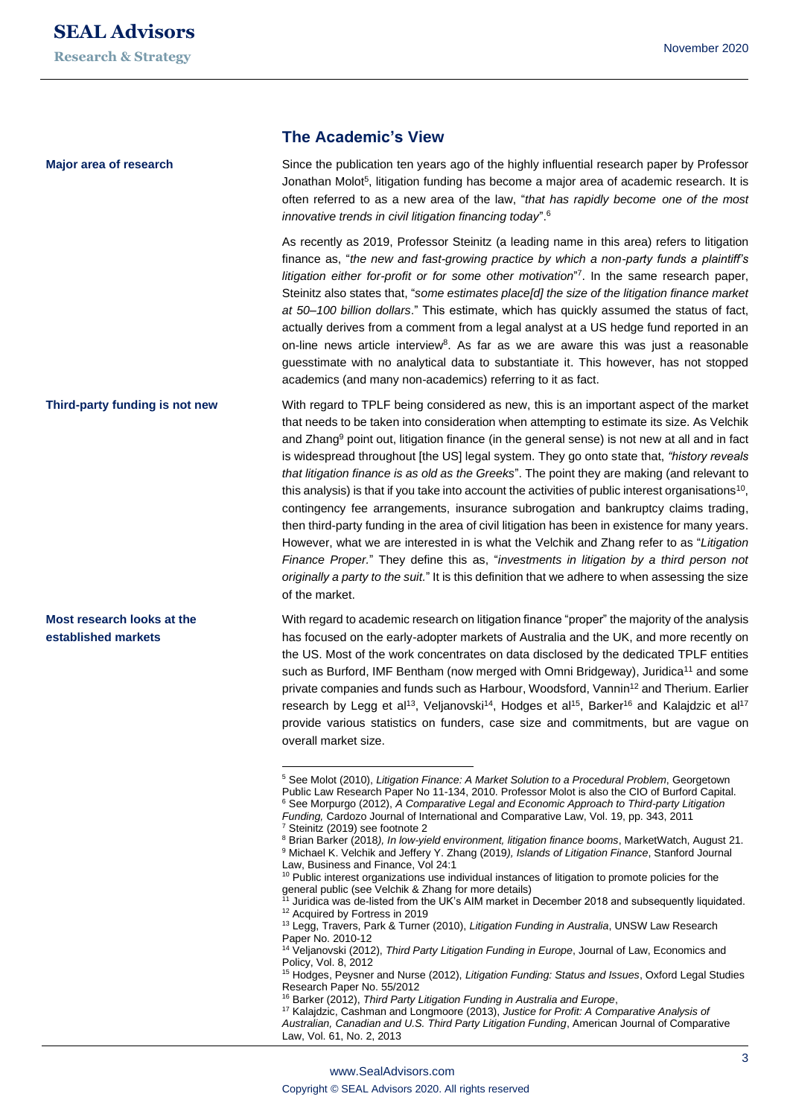**Major area of research**

**Most research looks at the established markets**

## **The Academic's View**

Since the publication ten years ago of the highly influential research paper by Professor Jonathan Molot<sup>5</sup>, litigation funding has become a major area of academic research. It is often referred to as a new area of the law, "*that has rapidly become one of the most innovative trends in civil litigation financing today*".<sup>6</sup>

As recently as 2019, Professor Steinitz (a leading name in this area) refers to litigation finance as, "*the new and fast-growing practice by which a non-party funds a plaintiff's*  litigation either for-profit or for some other motivation<sup>"7</sup>. In the same research paper, Steinitz also states that, "*some estimates place[d] the size of the litigation finance market at 50–100 billion dollars*." This estimate, which has quickly assumed the status of fact, actually derives from a comment from a legal analyst at a US hedge fund reported in an on-line news article interview<sup>8</sup>. As far as we are aware this was just a reasonable guesstimate with no analytical data to substantiate it. This however, has not stopped academics (and many non-academics) referring to it as fact.

With regard to TPLF being considered as new, this is an important aspect of the market that needs to be taken into consideration when attempting to estimate its size. As Velchik and Zhang<sup>9</sup> point out, litigation finance (in the general sense) is not new at all and in fact is widespread throughout [the US] legal system. They go onto state that, *"history reveals that litigation finance is as old as the Greeks*". The point they are making (and relevant to this analysis) is that if you take into account the activities of public interest organisations<sup>10</sup>, contingency fee arrangements, insurance subrogation and bankruptcy claims trading, then third-party funding in the area of civil litigation has been in existence for many years. However, what we are interested in is what the Velchik and Zhang refer to as "*Litigation Finance Proper.*" They define this as, "*investments in litigation by a third person not originally a party to the suit.*" It is this definition that we adhere to when assessing the size of the market. **Third-party funding is not new**

> With regard to academic research on litigation finance "proper" the majority of the analysis has focused on the early-adopter markets of Australia and the UK, and more recently on the US. Most of the work concentrates on data disclosed by the dedicated TPLF entities such as Burford, IMF Bentham (now merged with Omni Bridgeway), Juridica<sup>11</sup> and some private companies and funds such as Harbour, Woodsford, Vannin<sup>12</sup> and Therium. Earlier research by Legg et al<sup>13</sup>, Veljanovski<sup>14</sup>, Hodges et al<sup>15</sup>, Barker<sup>16</sup> and Kalajdzic et al<sup>17</sup> provide various statistics on funders, case size and commitments, but are vague on overall market size.

<sup>5</sup> See Molot (2010), *Litigation Finance: A Market Solution to a Procedural Problem*, Georgetown Public Law Research Paper No 11-134, 2010. Professor Molot is also the CIO of Burford Capital. <sup>6</sup> See Morpurgo (2012), *A Comparative Legal and Economic Approach to Third-party Litigation Funding,* Cardozo Journal of International and Comparative Law, Vol. 19, pp. 343, 2011 <sup>7</sup> Steinitz (2019) see footnote 2

<sup>&</sup>lt;sup>8</sup> Brian Barker (2018), In low-yield environment, litigation finance booms, MarketWatch, August 21.

<sup>9</sup> Michael K. Velchik and Jeffery Y. Zhang (2019*), Islands of Litigation Finance*, Stanford Journal Law, Business and Finance, Vol 24:1

<sup>10</sup> Public interest organizations use individual instances of litigation to promote policies for the general public (see Velchik & Zhang for more details)

<sup>11</sup> Juridica was de-listed from the UK's AIM market in December 2018 and subsequently liquidated. <sup>12</sup> Acquired by Fortress in 2019

<sup>13</sup> Legg, Travers, Park & Turner (2010), *Litigation Funding in Australia*, UNSW Law Research Paper No. 2010-12

<sup>14</sup> Veljanovski (2012), *Third Party Litigation Funding in Europe*, Journal of Law, Economics and Policy, Vol. 8, 2012

<sup>15</sup> Hodges, Peysner and Nurse (2012), *Litigation Funding: Status and Issues*, Oxford Legal Studies Research Paper No. 55/2012

<sup>16</sup> Barker (2012), *Third Party Litigation Funding in Australia and Europe*,

<sup>17</sup> Kalajdzic, Cashman and Longmoore (2013), *Justice for Profit: A Comparative Analysis of Australian, Canadian and U.S. Third Party Litigation Funding*, American Journal of Comparative

Law, Vol. 61, No. 2, 2013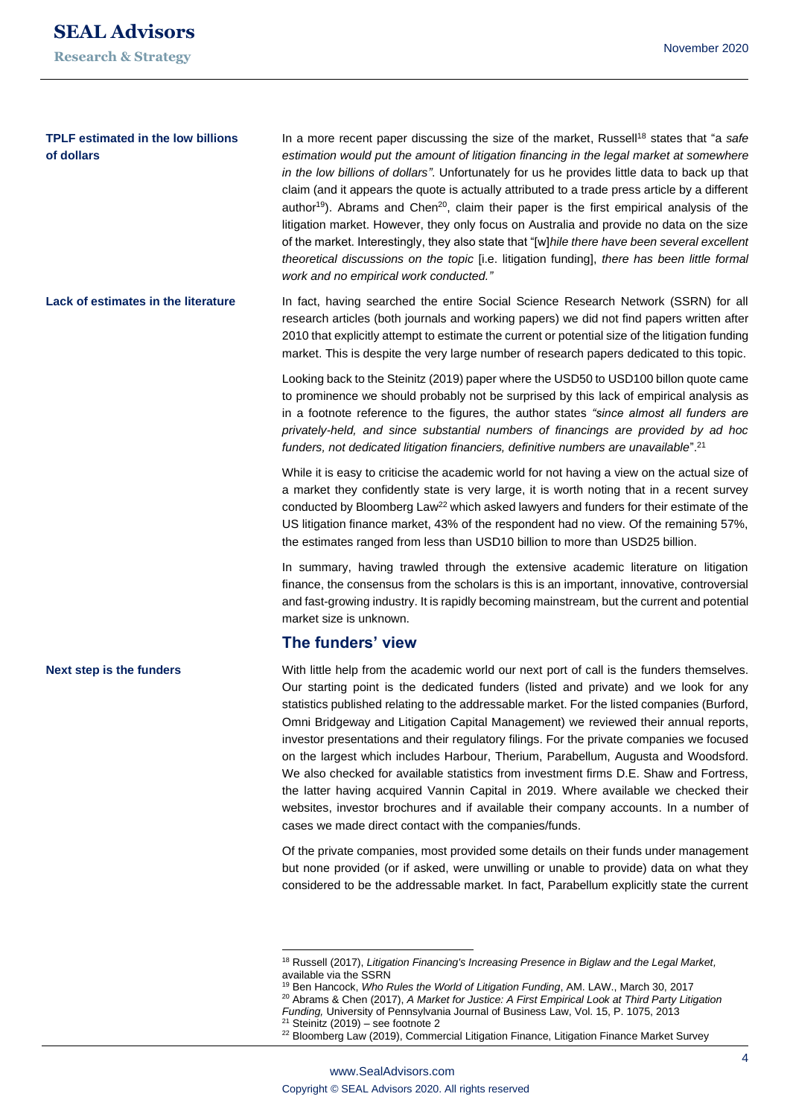**Next step is the funders**

## **TPLF estimated in the low billions of dollars**

In a more recent paper discussing the size of the market, Russell<sup>18</sup> states that "a *safe estimation would put the amount of litigation financing in the legal market at somewhere in the low billions of dollars"*. Unfortunately for us he provides little data to back up that claim (and it appears the quote is actually attributed to a trade press article by a different author<sup>19</sup>). Abrams and Chen<sup>20</sup>, claim their paper is the first empirical analysis of the litigation market. However, they only focus on Australia and provide no data on the size of the market. Interestingly, they also state that "[w]*hile there have been several excellent theoretical discussions on the topic* [i.e. litigation funding], *there has been little formal work and no empirical work conducted."*

In fact, having searched the entire Social Science Research Network (SSRN) for all research articles (both journals and working papers) we did not find papers written after 2010 that explicitly attempt to estimate the current or potential size of the litigation funding market. This is despite the very large number of research papers dedicated to this topic. **Lack of estimates in the literature**

> Looking back to the Steinitz (2019) paper where the USD50 to USD100 billon quote came to prominence we should probably not be surprised by this lack of empirical analysis as in a footnote reference to the figures, the author states *"since almost all funders are privately-held, and since substantial numbers of financings are provided by ad hoc funders, not dedicated litigation financiers, definitive numbers are unavailable*".<sup>21</sup>

> While it is easy to criticise the academic world for not having a view on the actual size of a market they confidently state is very large, it is worth noting that in a recent survey conducted by Bloomberg Law<sup>22</sup> which asked lawyers and funders for their estimate of the US litigation finance market, 43% of the respondent had no view. Of the remaining 57%, the estimates ranged from less than USD10 billion to more than USD25 billion.

> In summary, having trawled through the extensive academic literature on litigation finance, the consensus from the scholars is this is an important, innovative, controversial and fast-growing industry. It is rapidly becoming mainstream, but the current and potential market size is unknown.

## **The funders' view**

With little help from the academic world our next port of call is the funders themselves. Our starting point is the dedicated funders (listed and private) and we look for any statistics published relating to the addressable market. For the listed companies (Burford, Omni Bridgeway and Litigation Capital Management) we reviewed their annual reports, investor presentations and their regulatory filings. For the private companies we focused on the largest which includes Harbour, Therium, Parabellum, Augusta and Woodsford. We also checked for available statistics from investment firms D.E. Shaw and Fortress, the latter having acquired Vannin Capital in 2019. Where available we checked their websites, investor brochures and if available their company accounts. In a number of cases we made direct contact with the companies/funds.

Of the private companies, most provided some details on their funds under management but none provided (or if asked, were unwilling or unable to provide) data on what they considered to be the addressable market. In fact, Parabellum explicitly state the current

<sup>&</sup>lt;sup>18</sup> Russell (2017), Litigation Financing's Increasing Presence in Biglaw and the Legal Market, available via the SSRN

<sup>19</sup> Ben Hancock, *Who Rules the World of Litigation Funding*, AM. LAW., March 30, 2017 <sup>20</sup> Abrams & Chen (2017), *A Market for Justice: A First Empirical Look at Third Party Litigation* 

*Funding,* University of Pennsylvania Journal of Business Law, Vol. 15, P. 1075, 2013  $21$  Steinitz (2019) – see footnote 2

<sup>&</sup>lt;sup>22</sup> Bloomberg Law (2019), Commercial Litigation Finance, Litigation Finance Market Survey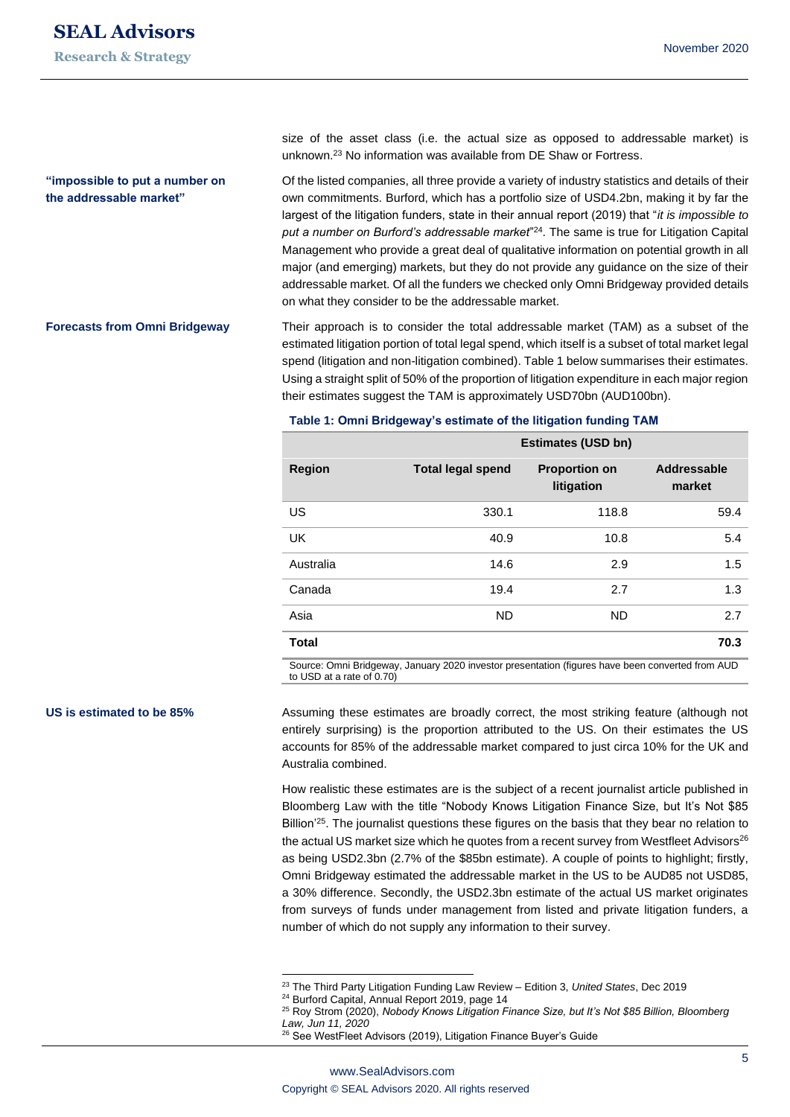## **"impossible to put a number on the addressable market"**

**Forecasts from Omni Bridgeway**

size of the asset class (i.e. the actual size as opposed to addressable market) is unknown.<sup>23</sup> No information was available from DE Shaw or Fortress.

Of the listed companies, all three provide a variety of industry statistics and details of their own commitments. Burford, which has a portfolio size of USD4.2bn, making it by far the largest of the litigation funders, state in their annual report (2019) that "*it is impossible to put a number on Burford's addressable market*" <sup>24</sup>. The same is true for Litigation Capital Management who provide a great deal of qualitative information on potential growth in all major (and emerging) markets, but they do not provide any guidance on the size of their addressable market. Of all the funders we checked only Omni Bridgeway provided details on what they consider to be the addressable market.

Their approach is to consider the total addressable market (TAM) as a subset of the estimated litigation portion of total legal spend, which itself is a subset of total market legal spend (litigation and non-litigation combined). Table 1 below summarises their estimates. Using a straight split of 50% of the proportion of litigation expenditure in each major region their estimates suggest the TAM is approximately USD70bn (AUD100bn).

**Table 1: Omni Bridgeway's estimate of the litigation funding TAM**

|               | <b>Estimates (USD bn)</b> |                                    |                       |  |
|---------------|---------------------------|------------------------------------|-----------------------|--|
| <b>Region</b> | <b>Total legal spend</b>  | <b>Proportion on</b><br>litigation | Addressable<br>market |  |
| US            | 330.1                     | 118.8                              | 59.4                  |  |
| <b>UK</b>     | 40.9                      | 10.8                               | 5.4                   |  |
| Australia     | 14.6                      | 2.9                                | 1.5                   |  |
| Canada        | 19.4                      | 2.7                                | 1.3                   |  |
| Asia          | <b>ND</b>                 | <b>ND</b>                          | 2.7                   |  |
| <b>Total</b>  |                           |                                    | 70.3                  |  |

Source: Omni Bridgeway, January 2020 investor presentation (figures have been converted from AUD to USD at a rate of 0.70)

#### **US is estimated to be 85%**

Assuming these estimates are broadly correct, the most striking feature (although not entirely surprising) is the proportion attributed to the US. On their estimates the US accounts for 85% of the addressable market compared to just circa 10% for the UK and Australia combined.

How realistic these estimates are is the subject of a recent journalist article published in Bloomberg Law with the title "Nobody Knows Litigation Finance Size, but It's Not \$85 Billion<sup>'25</sup>. The journalist questions these figures on the basis that they bear no relation to the actual US market size which he quotes from a recent survey from Westfleet Advisors $^{26}$ as being USD2.3bn (2.7% of the \$85bn estimate). A couple of points to highlight; firstly, Omni Bridgeway estimated the addressable market in the US to be AUD85 not USD85, a 30% difference. Secondly, the USD2.3bn estimate of the actual US market originates from surveys of funds under management from listed and private litigation funders, a number of which do not supply any information to their survey.

<sup>23</sup> The Third Party Litigation Funding Law Review – Edition 3, *United States*, Dec 2019

<sup>24</sup> Burford Capital, Annual Report 2019, page 14

<sup>25</sup> Roy Strom (2020), *Nobody Knows Litigation Finance Size, but It's Not \$85 Billion, Bloomberg Law, Jun 11, 2020*

<sup>26</sup> See WestFleet Advisors (2019), Litigation Finance Buyer's Guide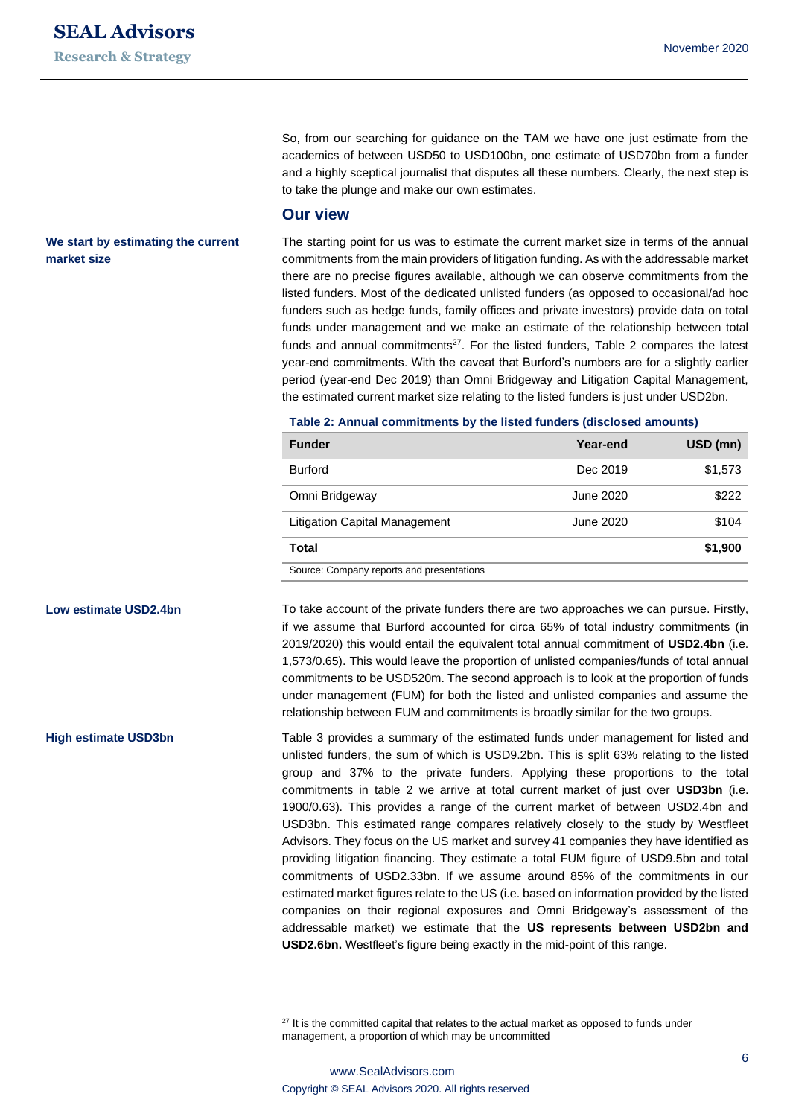So, from our searching for guidance on the TAM we have one just estimate from the academics of between USD50 to USD100bn, one estimate of USD70bn from a funder and a highly sceptical journalist that disputes all these numbers. Clearly, the next step is to take the plunge and make our own estimates.

## **Our view**

The starting point for us was to estimate the current market size in terms of the annual commitments from the main providers of litigation funding. As with the addressable market there are no precise figures available, although we can observe commitments from the listed funders. Most of the dedicated unlisted funders (as opposed to occasional/ad hoc funders such as hedge funds, family offices and private investors) provide data on total funds under management and we make an estimate of the relationship between total funds and annual commitments<sup>27</sup>. For the listed funders, Table 2 compares the latest year-end commitments. With the caveat that Burford's numbers are for a slightly earlier period (year-end Dec 2019) than Omni Bridgeway and Litigation Capital Management, the estimated current market size relating to the listed funders is just under USD2bn.

#### **Table 2: Annual commitments by the listed funders (disclosed amounts)**

| <b>Funder</b>                             | Year-end  | USD (mn) |  |
|-------------------------------------------|-----------|----------|--|
| <b>Burford</b>                            | Dec 2019  | \$1,573  |  |
| Omni Bridgeway                            | June 2020 | \$222    |  |
| Litigation Capital Management             | June 2020 | \$104    |  |
| <b>Total</b>                              |           | \$1,900  |  |
| Course: Company roporto and propontations |           |          |  |

Source: Company reports and presentations

To take account of the private funders there are two approaches we can pursue. Firstly, if we assume that Burford accounted for circa 65% of total industry commitments (in 2019/2020) this would entail the equivalent total annual commitment of **USD2.4bn** (i.e. 1,573/0.65). This would leave the proportion of unlisted companies/funds of total annual commitments to be USD520m. The second approach is to look at the proportion of funds under management (FUM) for both the listed and unlisted companies and assume the relationship between FUM and commitments is broadly similar for the two groups.

Table 3 provides a summary of the estimated funds under management for listed and unlisted funders, the sum of which is USD9.2bn. This is split 63% relating to the listed group and 37% to the private funders. Applying these proportions to the total commitments in table 2 we arrive at total current market of just over **USD3bn** (i.e. 1900/0.63). This provides a range of the current market of between USD2.4bn and USD3bn. This estimated range compares relatively closely to the study by Westfleet Advisors. They focus on the US market and survey 41 companies they have identified as providing litigation financing. They estimate a total FUM figure of USD9.5bn and total commitments of USD2.33bn. If we assume around 85% of the commitments in our estimated market figures relate to the US (i.e. based on information provided by the listed companies on their regional exposures and Omni Bridgeway's assessment of the addressable market) we estimate that the **US represents between USD2bn and USD2.6bn.** Westfleet's figure being exactly in the mid-point of this range.

## **We start by estimating the current market size**

**Low estimate USD2.4bn**

**High estimate USD3bn**

 $27$  It is the committed capital that relates to the actual market as opposed to funds under management, a proportion of which may be uncommitted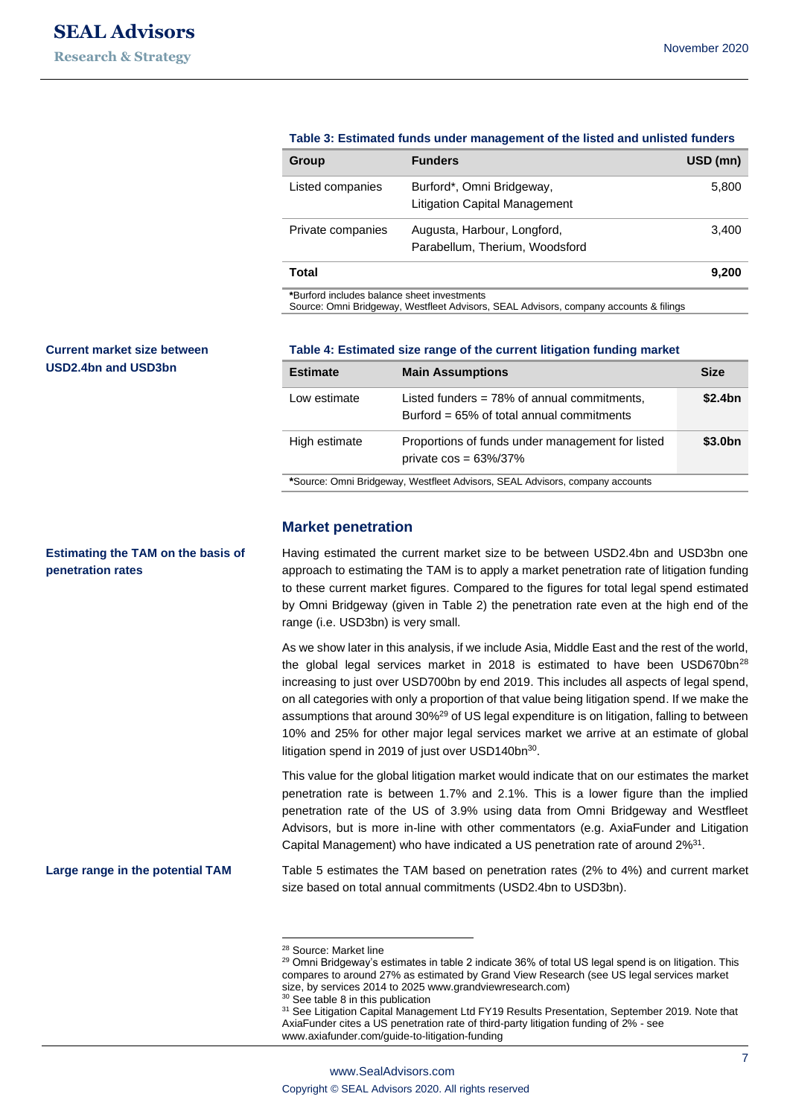| Group                                       | <b>Funders</b>                                                    | USD (mn) |
|---------------------------------------------|-------------------------------------------------------------------|----------|
| Listed companies                            | Burford*, Omni Bridgeway,<br><b>Litigation Capital Management</b> | 5,800    |
| Private companies                           | Augusta, Harbour, Longford,<br>Parabellum, Therium, Woodsford     | 3,400    |
| Total                                       |                                                                   | 9,200    |
| *Burford includes balance sheet investments |                                                                   |          |

#### **Table 3: Estimated funds under management of the listed and unlisted funders**

Source: Omni Bridgeway, Westfleet Advisors, SEAL Advisors, company accounts & filings

## **Current market size between USD2.4bn and USD3bn**

**Estimating the TAM on the basis of** 

**Large range in the potential TAM**

**penetration rates**

#### **Table 4: Estimated size range of the current litigation funding market**

| <b>Estimate</b>                                                                                | <b>Main Assumptions</b>                                                                        | <b>Size</b>         |  |
|------------------------------------------------------------------------------------------------|------------------------------------------------------------------------------------------------|---------------------|--|
| Low estimate                                                                                   | Listed funders $= 78\%$ of annual commitments,<br>Burford = $65\%$ of total annual commitments | \$2.4bn             |  |
| Proportions of funds under management for listed<br>High estimate<br>private $cos = 63\%/37\%$ |                                                                                                | \$3.0 <sub>bn</sub> |  |
| *Source: Omni Bridgeway, Westfleet Advisors, SEAL Advisors, company accounts                   |                                                                                                |                     |  |

#### **Market penetration**

Having estimated the current market size to be between USD2.4bn and USD3bn one approach to estimating the TAM is to apply a market penetration rate of litigation funding to these current market figures. Compared to the figures for total legal spend estimated by Omni Bridgeway (given in Table 2) the penetration rate even at the high end of the range (i.e. USD3bn) is very small.

As we show later in this analysis, if we include Asia, Middle East and the rest of the world, the global legal services market in  $2018$  is estimated to have been USD670bn<sup>28</sup> increasing to just over USD700bn by end 2019. This includes all aspects of legal spend, on all categories with only a proportion of that value being litigation spend. If we make the assumptions that around 30%<sup>29</sup> of US legal expenditure is on litigation, falling to between 10% and 25% for other major legal services market we arrive at an estimate of global litigation spend in 2019 of just over USD140bn<sup>30</sup>.

This value for the global litigation market would indicate that on our estimates the market penetration rate is between 1.7% and 2.1%. This is a lower figure than the implied penetration rate of the US of 3.9% using data from Omni Bridgeway and Westfleet Advisors, but is more in-line with other commentators (e.g. AxiaFunder and Litigation Capital Management) who have indicated a US penetration rate of around 2%<sup>31</sup>.

Table 5 estimates the TAM based on penetration rates (2% to 4%) and current market size based on total annual commitments (USD2.4bn to USD3bn).

<sup>28</sup> Source: Market line

<sup>&</sup>lt;sup>29</sup> Omni Bridgeway's estimates in table 2 indicate 36% of total US legal spend is on litigation. This compares to around 27% as estimated by Grand View Research (see US legal services market size, by services 2014 to 2025 www.grandviewresearch.com)

<sup>&</sup>lt;sup>30</sup> See table 8 in this publication

<sup>&</sup>lt;sup>31</sup> See Litigation Capital Management Ltd FY19 Results Presentation, September 2019. Note that AxiaFunder cites a US penetration rate of third-party litigation funding of 2% - see www.axiafunder.com/guide-to-litigation-funding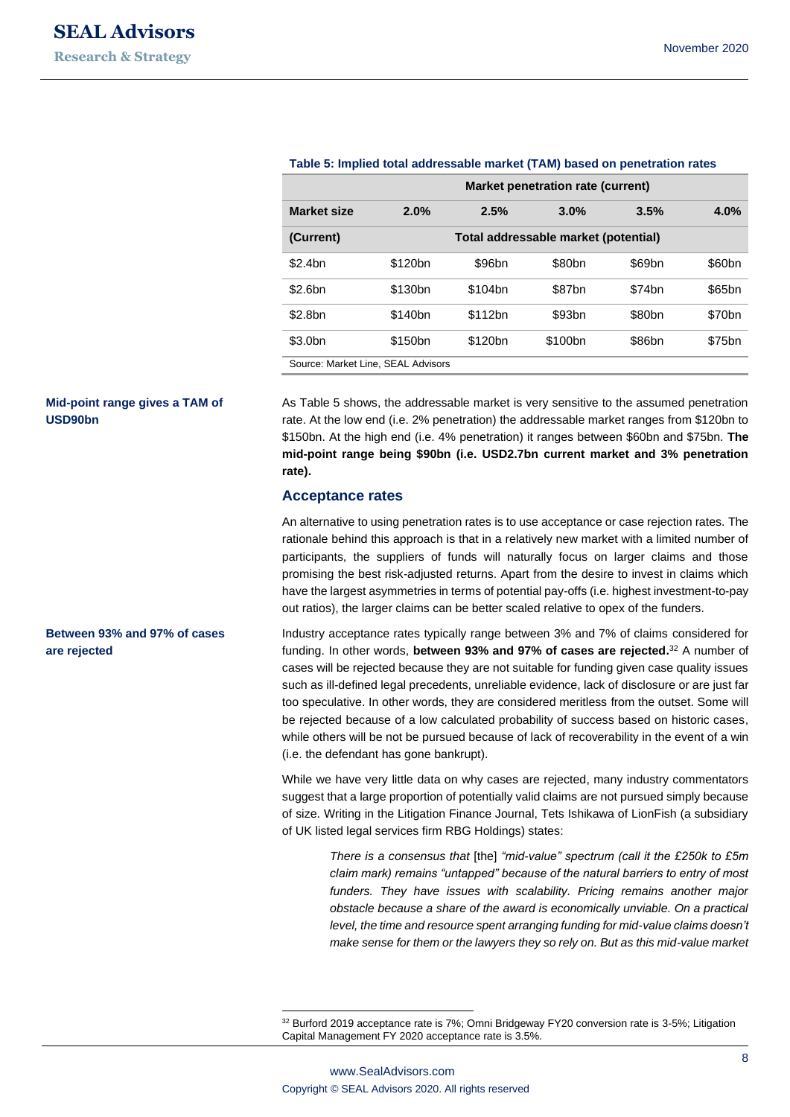| Market penetration rate (current)  |                                      |         |                     |        |                    |
|------------------------------------|--------------------------------------|---------|---------------------|--------|--------------------|
| <b>Market size</b>                 | 2.0%                                 | 2.5%    | 3.0%                | 3.5%   | 4.0%               |
| (Current)                          | Total addressable market (potential) |         |                     |        |                    |
| \$2.4bn                            | \$120bn                              | \$96bn  | \$80bn              | \$69bn | \$60bn             |
| \$2.6bn                            | \$130 <sub>bn</sub>                  | \$104bn | \$87bn              | \$74bn | \$65bn             |
| \$2.8bn                            | \$140bn                              | \$112bn | \$93bn              | \$80bn | \$70 <sub>bn</sub> |
| \$3.0 <sub>bn</sub>                | \$150 <sub>bn</sub>                  | \$120bn | \$100 <sub>bn</sub> | \$86bn | \$75bn             |
| Source: Market Line, SEAL Advisors |                                      |         |                     |        |                    |

#### **Table 5: Implied total addressable market (TAM) based on penetration rates**

**Mid-point range gives a TAM of USD90bn**

**Between 93% and 97% of cases** 

**are rejected**

As Table 5 shows, the addressable market is very sensitive to the assumed penetration rate. At the low end (i.e. 2% penetration) the addressable market ranges from \$120bn to \$150bn. At the high end (i.e. 4% penetration) it ranges between \$60bn and \$75bn. **The mid-point range being \$90bn (i.e. USD2.7bn current market and 3% penetration rate).**

## **Acceptance rates**

An alternative to using penetration rates is to use acceptance or case rejection rates. The rationale behind this approach is that in a relatively new market with a limited number of participants, the suppliers of funds will naturally focus on larger claims and those promising the best risk-adjusted returns. Apart from the desire to invest in claims which have the largest asymmetries in terms of potential pay-offs (i.e. highest investment-to-pay out ratios), the larger claims can be better scaled relative to opex of the funders.

Industry acceptance rates typically range between 3% and 7% of claims considered for funding. In other words, **between 93% and 97% of cases are rejected.** <sup>32</sup> A number of cases will be rejected because they are not suitable for funding given case quality issues such as ill-defined legal precedents, unreliable evidence, lack of disclosure or are just far too speculative. In other words, they are considered meritless from the outset. Some will be rejected because of a low calculated probability of success based on historic cases, while others will be not be pursued because of lack of recoverability in the event of a win (i.e. the defendant has gone bankrupt).

While we have very little data on why cases are rejected, many industry commentators suggest that a large proportion of potentially valid claims are not pursued simply because of size. Writing in the Litigation Finance Journal, Tets Ishikawa of LionFish (a subsidiary of UK listed legal services firm RBG Holdings) states:

> *There is a consensus that* [the] *"mid-value" spectrum (call it the £250k to £5m claim mark) remains "untapped" because of the natural barriers to entry of most funders. They have issues with scalability. Pricing remains another major obstacle because a share of the award is economically unviable. On a practical level, the time and resource spent arranging funding for mid-value claims doesn't make sense for them or the lawyers they so rely on. But as this mid-value market*

<sup>32</sup> Burford 2019 acceptance rate is 7%; Omni Bridgeway FY20 conversion rate is 3-5%; Litigation Capital Management FY 2020 acceptance rate is 3.5%.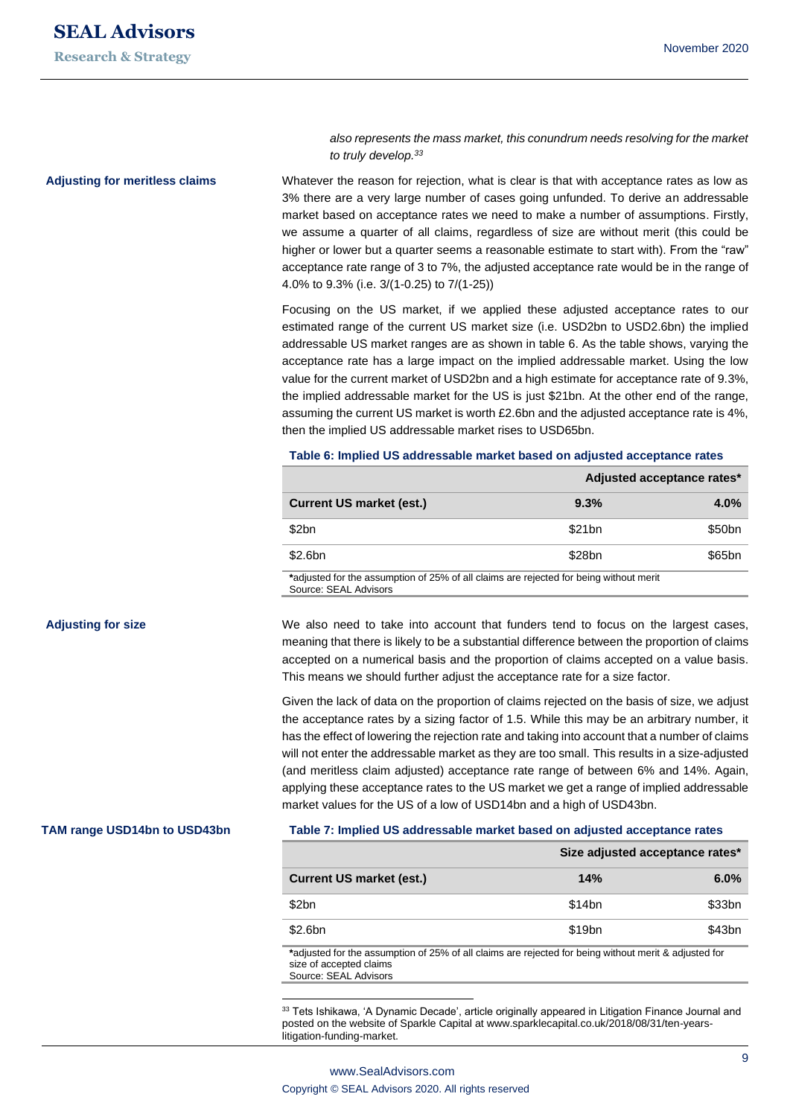**Adjusting for meritless claims**

*also represents the mass market, this conundrum needs resolving for the market to truly develop. 33*

Whatever the reason for rejection, what is clear is that with acceptance rates as low as 3% there are a very large number of cases going unfunded. To derive an addressable market based on acceptance rates we need to make a number of assumptions. Firstly, we assume a quarter of all claims, regardless of size are without merit (this could be higher or lower but a quarter seems a reasonable estimate to start with). From the "raw" acceptance rate range of 3 to 7%, the adjusted acceptance rate would be in the range of 4.0% to 9.3% (i.e. 3/(1-0.25) to 7/(1-25))

Focusing on the US market, if we applied these adjusted acceptance rates to our estimated range of the current US market size (i.e. USD2bn to USD2.6bn) the implied addressable US market ranges are as shown in table 6. As the table shows, varying the acceptance rate has a large impact on the implied addressable market. Using the low value for the current market of USD2bn and a high estimate for acceptance rate of 9.3%, the implied addressable market for the US is just \$21bn. At the other end of the range, assuming the current US market is worth £2.6bn and the adjusted acceptance rate is 4%, then the implied US addressable market rises to USD65bn.

#### **Table 6: Implied US addressable market based on adjusted acceptance rates**

|                                                                                        | Adjusted acceptance rates* |                    |  |
|----------------------------------------------------------------------------------------|----------------------------|--------------------|--|
| <b>Current US market (est.)</b>                                                        | 9.3%                       | $4.0\%$            |  |
| \$2bn                                                                                  | \$21bn                     | \$50 <sub>bn</sub> |  |
| \$2.6bn                                                                                | \$28bn                     | \$65bn             |  |
| *adjusted for the assumption of 25% of all claims are rejected for being without merit |                            |                    |  |

Source: SEAL Advisors

#### **Adjusting for size**

**TAM range USD14bn to USD43bn**

# accepted on a numerical basis and the proportion of claims accepted on a value basis. This means we should further adjust the acceptance rate for a size factor.

We also need to take into account that funders tend to focus on the largest cases, meaning that there is likely to be a substantial difference between the proportion of claims

Given the lack of data on the proportion of claims rejected on the basis of size, we adjust the acceptance rates by a sizing factor of 1.5. While this may be an arbitrary number, it has the effect of lowering the rejection rate and taking into account that a number of claims will not enter the addressable market as they are too small. This results in a size-adjusted (and meritless claim adjusted) acceptance rate range of between 6% and 14%. Again, applying these acceptance rates to the US market we get a range of implied addressable market values for the US of a low of USD14bn and a high of USD43bn.

#### **Table 7: Implied US addressable market based on adjusted acceptance rates**

|                                                                                                       | Size adjusted acceptance rates* |        |  |
|-------------------------------------------------------------------------------------------------------|---------------------------------|--------|--|
| <b>Current US market (est.)</b>                                                                       | 14%                             | 6.0%   |  |
| \$2bn                                                                                                 | \$14bn                          | \$33bn |  |
| \$2.6bn                                                                                               | \$19 <sub>bn</sub>              | \$43bn |  |
| tadjusted for the assumption of 25% of all claims are rejected for being without merit & adjusted for |                                 |        |  |

**\***adjusted for the assumption of 25% of all claims are rejected for being without merit & adjusted for size of accepted claims Source: SEAL Advisors

33 Tets Ishikawa, 'A Dynamic Decade', article originally appeared in Litigation Finance Journal and posted on the website of Sparkle Capital at www.sparklecapital.co.uk/2018/08/31/ten-yearslitigation-funding-market.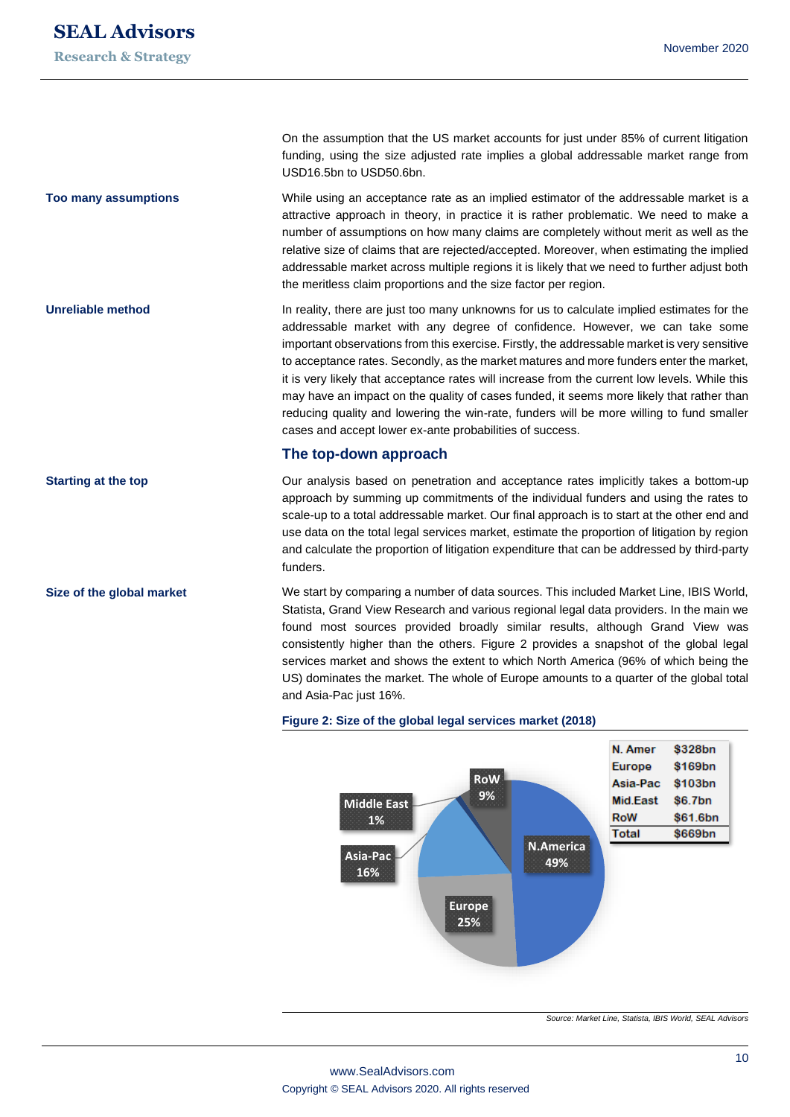**Too many assumptions**

**Unreliable method**

**Starting at the top**

**Size of the global market**

On the assumption that the US market accounts for just under 85% of current litigation funding, using the size adjusted rate implies a global addressable market range from USD16.5bn to USD50.6bn.

While using an acceptance rate as an implied estimator of the addressable market is a attractive approach in theory, in practice it is rather problematic. We need to make a number of assumptions on how many claims are completely without merit as well as the relative size of claims that are rejected/accepted. Moreover, when estimating the implied addressable market across multiple regions it is likely that we need to further adjust both the meritless claim proportions and the size factor per region.

In reality, there are just too many unknowns for us to calculate implied estimates for the addressable market with any degree of confidence. However, we can take some important observations from this exercise. Firstly, the addressable market is very sensitive to acceptance rates. Secondly, as the market matures and more funders enter the market, it is very likely that acceptance rates will increase from the current low levels. While this may have an impact on the quality of cases funded, it seems more likely that rather than reducing quality and lowering the win-rate, funders will be more willing to fund smaller cases and accept lower ex-ante probabilities of success.

#### **The top-down approach**

Our analysis based on penetration and acceptance rates implicitly takes a bottom-up approach by summing up commitments of the individual funders and using the rates to scale-up to a total addressable market. Our final approach is to start at the other end and use data on the total legal services market, estimate the proportion of litigation by region and calculate the proportion of litigation expenditure that can be addressed by third-party funders.

We start by comparing a number of data sources. This included Market Line, IBIS World, Statista, Grand View Research and various regional legal data providers. In the main we found most sources provided broadly similar results, although Grand View was consistently higher than the others. Figure 2 provides a snapshot of the global legal services market and shows the extent to which North America (96% of which being the US) dominates the market. The whole of Europe amounts to a quarter of the global total and Asia-Pac just 16%.

#### **Figure 2: Size of the global legal services market (2018)**



*Source: Market Line, Statista, IBIS World, SEAL Advisors*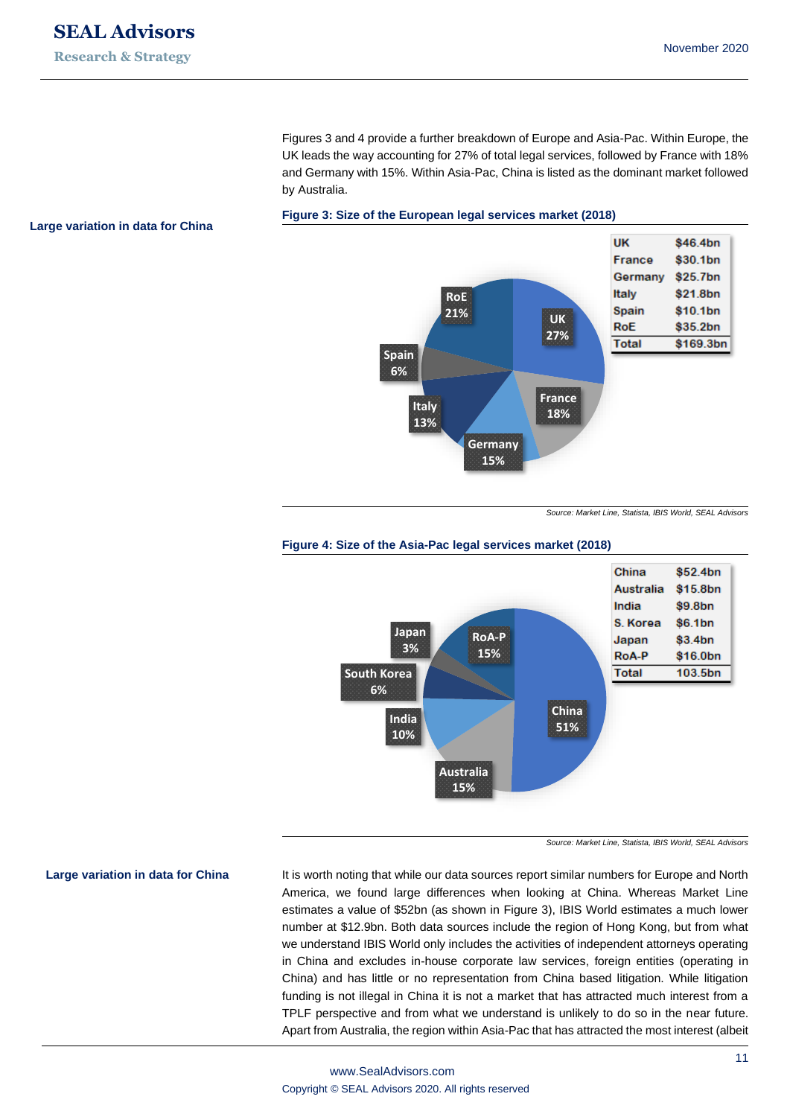Figures 3 and 4 provide a further breakdown of Europe and Asia-Pac. Within Europe, the UK leads the way accounting for 27% of total legal services, followed by France with 18% and Germany with 15%. Within Asia-Pac, China is listed as the dominant market followed by Australia.

#### **Large variation in data for China**

**Large variation in data for China**



*Source: Market Line, Statista, IBIS World, SEAL Advisors*



#### **Figure 4: Size of the Asia-Pac legal services market (2018)**

*Source: Market Line, Statista, IBIS World, SEAL Advisors*

It is worth noting that while our data sources report similar numbers for Europe and North America, we found large differences when looking at China. Whereas Market Line estimates a value of \$52bn (as shown in Figure 3), IBIS World estimates a much lower number at \$12.9bn. Both data sources include the region of Hong Kong, but from what we understand IBIS World only includes the activities of independent attorneys operating in China and excludes in-house corporate law services, foreign entities (operating in China) and has little or no representation from China based litigation. While litigation funding is not illegal in China it is not a market that has attracted much interest from a TPLF perspective and from what we understand is unlikely to do so in the near future. Apart from Australia, the region within Asia-Pac that has attracted the most interest (albeit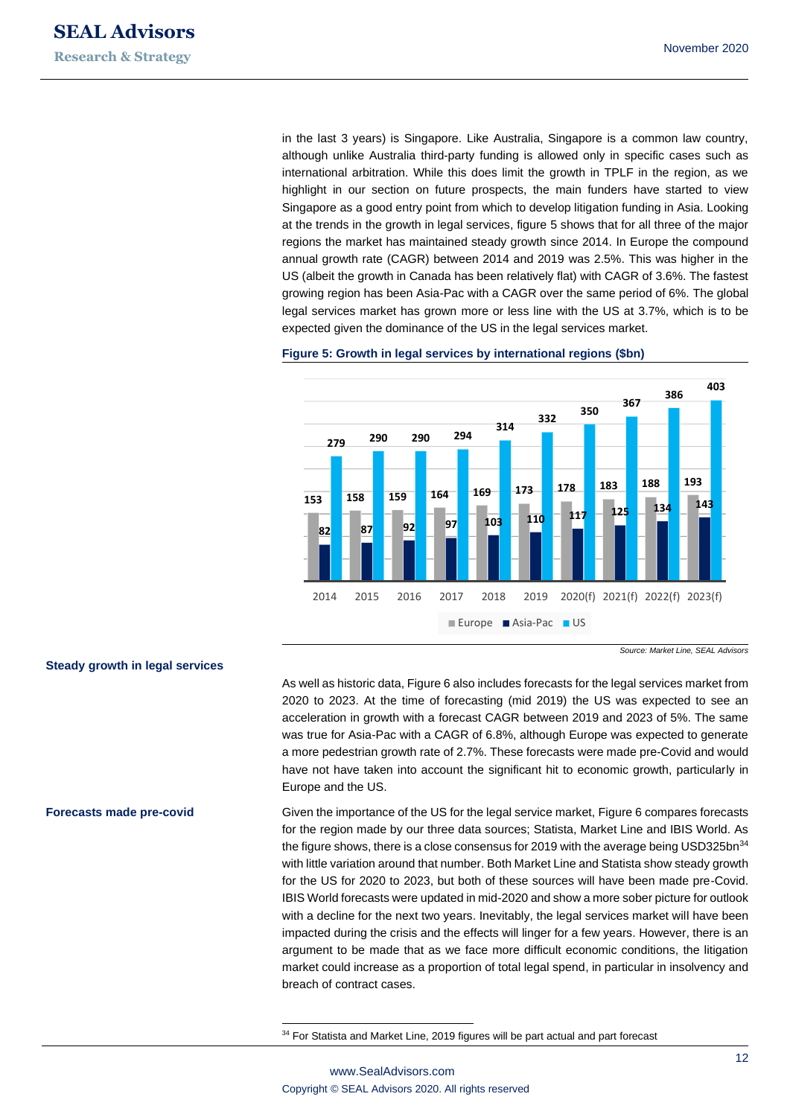in the last 3 years) is Singapore. Like Australia, Singapore is a common law country, although unlike Australia third-party funding is allowed only in specific cases such as international arbitration. While this does limit the growth in TPLF in the region, as we highlight in our section on future prospects, the main funders have started to view Singapore as a good entry point from which to develop litigation funding in Asia. Looking at the trends in the growth in legal services, figure 5 shows that for all three of the major regions the market has maintained steady growth since 2014. In Europe the compound annual growth rate (CAGR) between 2014 and 2019 was 2.5%. This was higher in the US (albeit the growth in Canada has been relatively flat) with CAGR of 3.6%. The fastest growing region has been Asia-Pac with a CAGR over the same period of 6%. The global legal services market has grown more or less line with the US at 3.7%, which is to be expected given the dominance of the US in the legal services market.

#### **Figure 5: Growth in legal services by international regions (\$bn)**



*Source: Market Line, SEAL Advisors*

As well as historic data, Figure 6 also includes forecasts for the legal services market from 2020 to 2023. At the time of forecasting (mid 2019) the US was expected to see an acceleration in growth with a forecast CAGR between 2019 and 2023 of 5%. The same was true for Asia-Pac with a CAGR of 6.8%, although Europe was expected to generate a more pedestrian growth rate of 2.7%. These forecasts were made pre-Covid and would have not have taken into account the significant hit to economic growth, particularly in Europe and the US.

Given the importance of the US for the legal service market, Figure 6 compares forecasts for the region made by our three data sources; Statista, Market Line and IBIS World. As the figure shows, there is a close consensus for 2019 with the average being USD325bn $34$ with little variation around that number. Both Market Line and Statista show steady growth for the US for 2020 to 2023, but both of these sources will have been made pre-Covid. IBIS World forecasts were updated in mid-2020 and show a more sober picture for outlook with a decline for the next two years. Inevitably, the legal services market will have been impacted during the crisis and the effects will linger for a few years. However, there is an argument to be made that as we face more difficult economic conditions, the litigation market could increase as a proportion of total legal spend, in particular in insolvency and breach of contract cases.

<sup>34</sup> For Statista and Market Line, 2019 figures will be part actual and part forecast

## **Steady growth in legal services**

#### **Forecasts made pre-covid**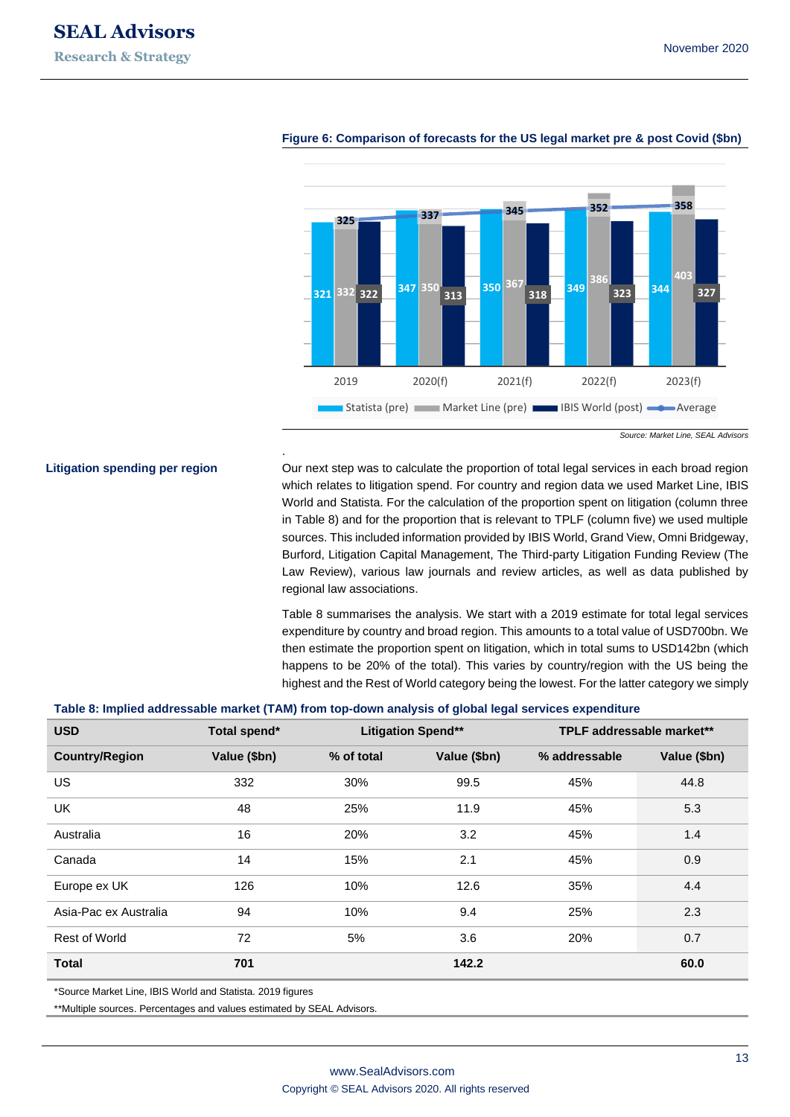**Litigation spending per region**



#### **Figure 6: Comparison of forecasts for the US legal market pre & post Covid (\$bn)**

*Source: Market Line, SEAL Advisors*

Our next step was to calculate the proportion of total legal services in each broad region which relates to litigation spend. For country and region data we used Market Line, IBIS World and Statista. For the calculation of the proportion spent on litigation (column three in Table 8) and for the proportion that is relevant to TPLF (column five) we used multiple sources. This included information provided by IBIS World, Grand View, Omni Bridgeway, Burford, Litigation Capital Management, The Third-party Litigation Funding Review (The Law Review), various law journals and review articles, as well as data published by regional law associations.

Table 8 summarises the analysis. We start with a 2019 estimate for total legal services expenditure by country and broad region. This amounts to a total value of USD700bn. We then estimate the proportion spent on litigation, which in total sums to USD142bn (which happens to be 20% of the total). This varies by country/region with the US being the highest and the Rest of World category being the lowest. For the latter category we simply

#### **Table 8: Implied addressable market (TAM) from top-down analysis of global legal services expenditure**

.

| <b>USD</b>            | Total spend* | <b>Litigation Spend**</b> |              |               | TPLF addressable market** |
|-----------------------|--------------|---------------------------|--------------|---------------|---------------------------|
| <b>Country/Region</b> | Value (\$bn) | % of total                | Value (\$bn) | % addressable | Value (\$bn)              |
| US.                   | 332          | 30%                       | 99.5         | 45%           | 44.8                      |
| <b>UK</b>             | 48           | 25%                       | 11.9         | 45%           | 5.3                       |
| Australia             | 16           | 20%                       | 3.2          | 45%           | 1.4                       |
| Canada                | 14           | 15%                       | 2.1          | 45%           | 0.9                       |
| Europe ex UK          | 126          | 10%                       | 12.6         | 35%           | 4.4                       |
| Asia-Pac ex Australia | 94           | 10%                       | 9.4          | 25%           | 2.3                       |
| <b>Rest of World</b>  | 72           | 5%                        | 3.6          | 20%           | 0.7                       |
| <b>Total</b>          | 701          |                           | 142.2        |               | 60.0                      |

\*Source Market Line, IBIS World and Statista. 2019 figures

\*\*Multiple sources. Percentages and values estimated by SEAL Advisors.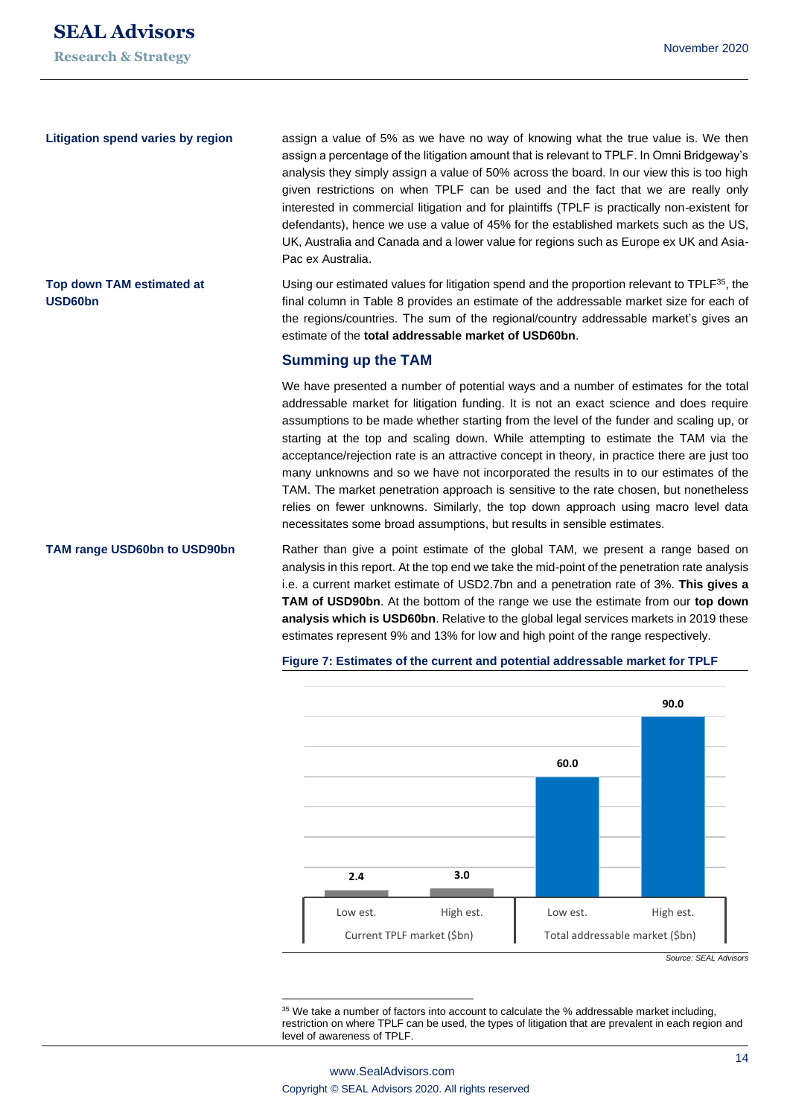**Litigation spend varies by region**

**Top down TAM estimated at** 

**USD60bn**

assign a value of 5% as we have no way of knowing what the true value is. We then assign a percentage of the litigation amount that is relevant to TPLF. In Omni Bridgeway's analysis they simply assign a value of 50% across the board. In our view this is too high given restrictions on when TPLF can be used and the fact that we are really only interested in commercial litigation and for plaintiffs (TPLF is practically non-existent for defendants), hence we use a value of 45% for the established markets such as the US, UK, Australia and Canada and a lower value for regions such as Europe ex UK and Asia-Pac ex Australia.

Using our estimated values for litigation spend and the proportion relevant to  $TPLF^{35}$ , the final column in Table 8 provides an estimate of the addressable market size for each of the regions/countries. The sum of the regional/country addressable market's gives an estimate of the **total addressable market of USD60bn**.

#### **Summing up the TAM**

We have presented a number of potential ways and a number of estimates for the total addressable market for litigation funding. It is not an exact science and does require assumptions to be made whether starting from the level of the funder and scaling up, or starting at the top and scaling down. While attempting to estimate the TAM via the acceptance/rejection rate is an attractive concept in theory, in practice there are just too many unknowns and so we have not incorporated the results in to our estimates of the TAM. The market penetration approach is sensitive to the rate chosen, but nonetheless relies on fewer unknowns. Similarly, the top down approach using macro level data necessitates some broad assumptions, but results in sensible estimates.

Rather than give a point estimate of the global TAM, we present a range based on analysis in this report. At the top end we take the mid-point of the penetration rate analysis i.e. a current market estimate of USD2.7bn and a penetration rate of 3%. **This gives a TAM of USD90bn**. At the bottom of the range we use the estimate from our **top down analysis which is USD60bn**. Relative to the global legal services markets in 2019 these estimates represent 9% and 13% for low and high point of the range respectively. **TAM range USD60bn to USD90bn**



#### **Figure 7: Estimates of the current and potential addressable market for TPLF**

<sup>35</sup> We take a number of factors into account to calculate the % addressable market including, restriction on where TPLF can be used, the types of litigation that are prevalent in each region and level of awareness of TPLF.

*Source: SEAL Advisors*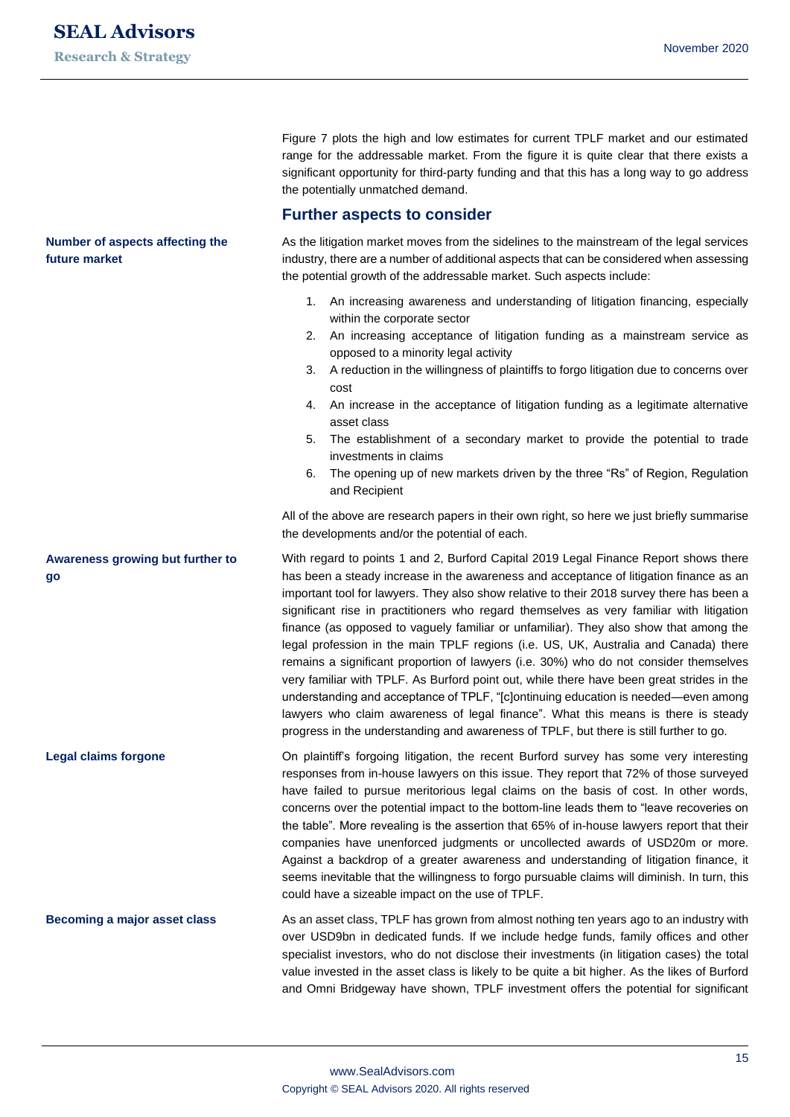**Number of aspects affecting the** 

**future market**

Figure 7 plots the high and low estimates for current TPLF market and our estimated range for the addressable market. From the figure it is quite clear that there exists a significant opportunity for third-party funding and that this has a long way to go address the potentially unmatched demand.

## **Further aspects to consider**

As the litigation market moves from the sidelines to the mainstream of the legal services industry, there are a number of additional aspects that can be considered when assessing the potential growth of the addressable market. Such aspects include:

- 1. An increasing awareness and understanding of litigation financing, especially within the corporate sector
- 2. An increasing acceptance of litigation funding as a mainstream service as opposed to a minority legal activity
- 3. A reduction in the willingness of plaintiffs to forgo litigation due to concerns over cost
- 4. An increase in the acceptance of litigation funding as a legitimate alternative asset class
- 5. The establishment of a secondary market to provide the potential to trade investments in claims
- 6. The opening up of new markets driven by the three "Rs" of Region, Regulation and Recipient

All of the above are research papers in their own right, so here we just briefly summarise the developments and/or the potential of each.

With regard to points 1 and 2, Burford Capital 2019 Legal Finance Report shows there has been a steady increase in the awareness and acceptance of litigation finance as an important tool for lawyers. They also show relative to their 2018 survey there has been a significant rise in practitioners who regard themselves as very familiar with litigation finance (as opposed to vaguely familiar or unfamiliar). They also show that among the legal profession in the main TPLF regions (i.e. US, UK, Australia and Canada) there remains a significant proportion of lawyers (i.e. 30%) who do not consider themselves very familiar with TPLF. As Burford point out, while there have been great strides in the understanding and acceptance of TPLF, "[c]ontinuing education is needed—even among lawyers who claim awareness of legal finance". What this means is there is steady progress in the understanding and awareness of TPLF, but there is still further to go. **go**

On plaintiff's forgoing litigation, the recent Burford survey has some very interesting responses from in-house lawyers on this issue. They report that 72% of those surveyed have failed to pursue meritorious legal claims on the basis of cost. In other words, concerns over the potential impact to the bottom-line leads them to "leave recoveries on the table". More revealing is the assertion that 65% of in-house lawyers report that their companies have unenforced judgments or uncollected awards of USD20m or more. Against a backdrop of a greater awareness and understanding of litigation finance, it seems inevitable that the willingness to forgo pursuable claims will diminish. In turn, this could have a sizeable impact on the use of TPLF.

As an asset class, TPLF has grown from almost nothing ten years ago to an industry with over USD9bn in dedicated funds. If we include hedge funds, family offices and other specialist investors, who do not disclose their investments (in litigation cases) the total value invested in the asset class is likely to be quite a bit higher. As the likes of Burford and Omni Bridgeway have shown, TPLF investment offers the potential for significant **Becoming a major asset class**

# **Awareness growing but further to**

**Legal claims forgone**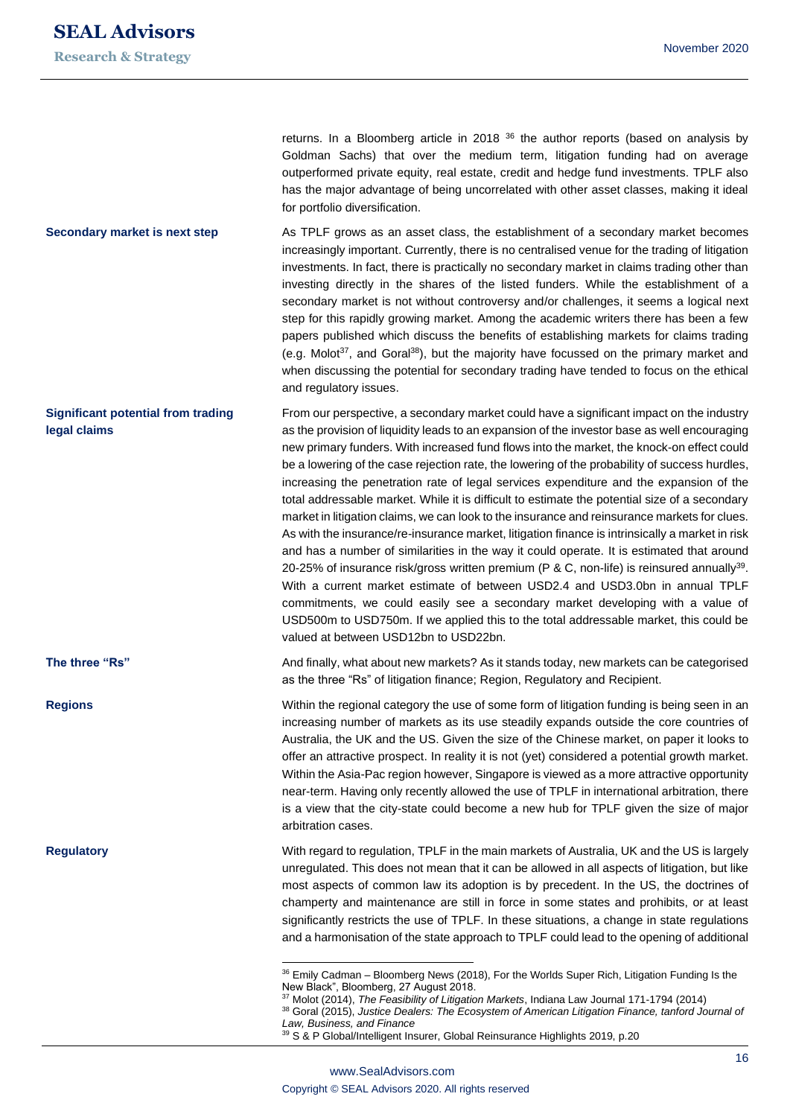**The three "Rs"**

**Regions**

**Regulatory**

returns. In a Bloomberg article in 2018  $36$  the author reports (based on analysis by Goldman Sachs) that over the medium term, litigation funding had on average outperformed private equity, real estate, credit and hedge fund investments. TPLF also has the major advantage of being uncorrelated with other asset classes, making it ideal for portfolio diversification.

As TPLF grows as an asset class, the establishment of a secondary market becomes increasingly important. Currently, there is no centralised venue for the trading of litigation investments. In fact, there is practically no secondary market in claims trading other than investing directly in the shares of the listed funders. While the establishment of a secondary market is not without controversy and/or challenges, it seems a logical next step for this rapidly growing market. Among the academic writers there has been a few papers published which discuss the benefits of establishing markets for claims trading (e.g. Molot<sup>37</sup>, and Goral<sup>38</sup>), but the majority have focussed on the primary market and when discussing the potential for secondary trading have tended to focus on the ethical and regulatory issues. **Secondary market is next step**

From our perspective, a secondary market could have a significant impact on the industry as the provision of liquidity leads to an expansion of the investor base as well encouraging new primary funders. With increased fund flows into the market, the knock-on effect could be a lowering of the case rejection rate, the lowering of the probability of success hurdles, increasing the penetration rate of legal services expenditure and the expansion of the total addressable market. While it is difficult to estimate the potential size of a secondary market in litigation claims, we can look to the insurance and reinsurance markets for clues. As with the insurance/re-insurance market, litigation finance is intrinsically a market in risk and has a number of similarities in the way it could operate. It is estimated that around 20-25% of insurance risk/gross written premium ( $P & C$ , non-life) is reinsured annually<sup>39</sup>. With a current market estimate of between USD2.4 and USD3.0bn in annual TPLF commitments, we could easily see a secondary market developing with a value of USD500m to USD750m. If we applied this to the total addressable market, this could be valued at between USD12bn to USD22bn. **Significant potential from trading legal claims**

> And finally, what about new markets? As it stands today, new markets can be categorised as the three "Rs" of litigation finance; Region, Regulatory and Recipient.

Within the regional category the use of some form of litigation funding is being seen in an increasing number of markets as its use steadily expands outside the core countries of Australia, the UK and the US. Given the size of the Chinese market, on paper it looks to offer an attractive prospect. In reality it is not (yet) considered a potential growth market. Within the Asia-Pac region however, Singapore is viewed as a more attractive opportunity near-term. Having only recently allowed the use of TPLF in international arbitration, there is a view that the city-state could become a new hub for TPLF given the size of major arbitration cases.

With regard to regulation, TPLF in the main markets of Australia, UK and the US is largely unregulated. This does not mean that it can be allowed in all aspects of litigation, but like most aspects of common law its adoption is by precedent. In the US, the doctrines of champerty and maintenance are still in force in some states and prohibits, or at least significantly restricts the use of TPLF. In these situations, a change in state regulations and a harmonisation of the state approach to TPLF could lead to the opening of additional

<sup>&</sup>lt;sup>36</sup> Emily Cadman - Bloomberg News (2018), For the Worlds Super Rich, Litigation Funding Is the New Black", Bloomberg, 27 August 2018.

<sup>37</sup> Molot (2014), *The Feasibility of Litigation Markets*, Indiana Law Journal 171-1794 (2014) 38 Goral (2015), Justice Dealers: The Ecosystem of American Litigation Finance, tanford Journal of

*Law, Business, and Finance* <sup>39</sup> S & P Global/Intelligent Insurer, Global Reinsurance Highlights 2019, p.20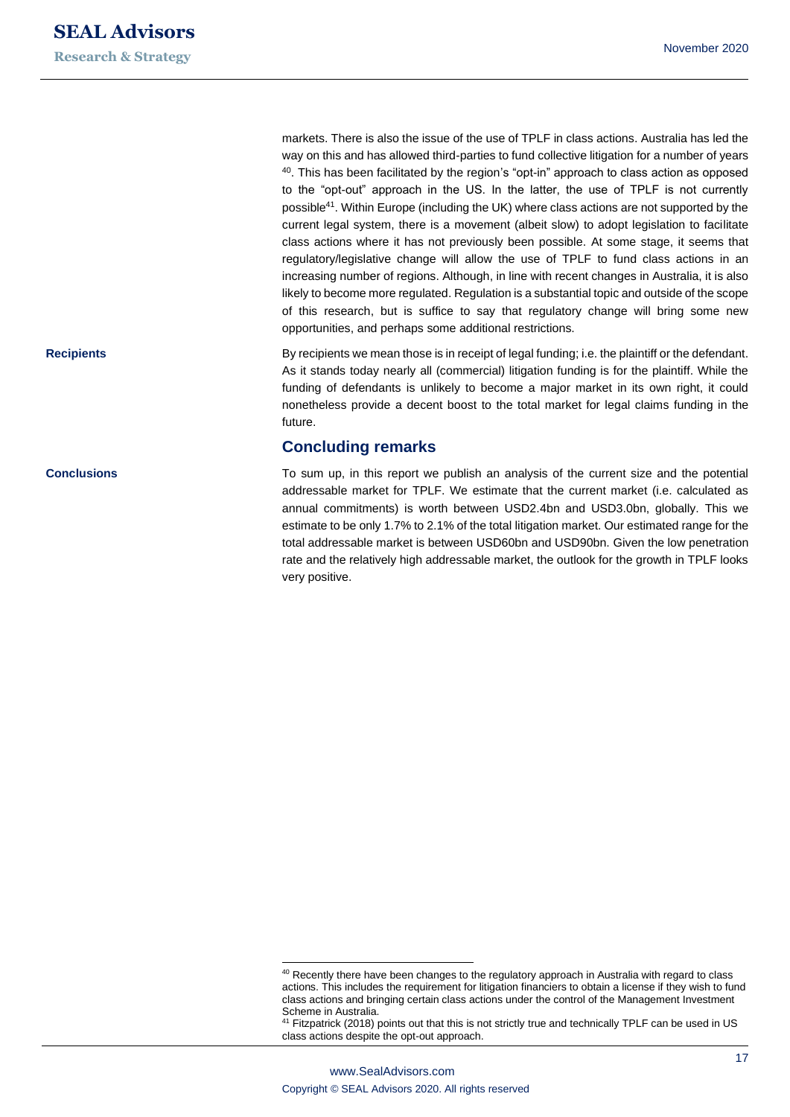markets. There is also the issue of the use of TPLF in class actions. Australia has led the way on this and has allowed third-parties to fund collective litigation for a number of years  $40$ . This has been facilitated by the region's "opt-in" approach to class action as opposed to the "opt-out" approach in the US. In the latter, the use of TPLF is not currently possible<sup>41</sup>. Within Europe (including the UK) where class actions are not supported by the current legal system, there is a movement (albeit slow) to adopt legislation to facilitate class actions where it has not previously been possible. At some stage, it seems that regulatory/legislative change will allow the use of TPLF to fund class actions in an increasing number of regions. Although, in line with recent changes in Australia, it is also likely to become more regulated. Regulation is a substantial topic and outside of the scope of this research, but is suffice to say that regulatory change will bring some new opportunities, and perhaps some additional restrictions.

By recipients we mean those is in receipt of legal funding; i.e. the plaintiff or the defendant. As it stands today nearly all (commercial) litigation funding is for the plaintiff. While the funding of defendants is unlikely to become a major market in its own right, it could nonetheless provide a decent boost to the total market for legal claims funding in the future.

## **Concluding remarks**

To sum up, in this report we publish an analysis of the current size and the potential addressable market for TPLF. We estimate that the current market (i.e. calculated as annual commitments) is worth between USD2.4bn and USD3.0bn, globally. This we estimate to be only 1.7% to 2.1% of the total litigation market. Our estimated range for the total addressable market is between USD60bn and USD90bn. Given the low penetration rate and the relatively high addressable market, the outlook for the growth in TPLF looks very positive.

**Recipients**

**Conclusions**

<sup>&</sup>lt;sup>40</sup> Recently there have been changes to the regulatory approach in Australia with regard to class actions. This includes the requirement for litigation financiers to obtain a license if they wish to fund class actions and bringing certain class actions under the control of the Management Investment Scheme in Australia.

<sup>&</sup>lt;sup>41</sup> Fitzpatrick (2018) points out that this is not strictly true and technically TPLF can be used in US class actions despite the opt-out approach.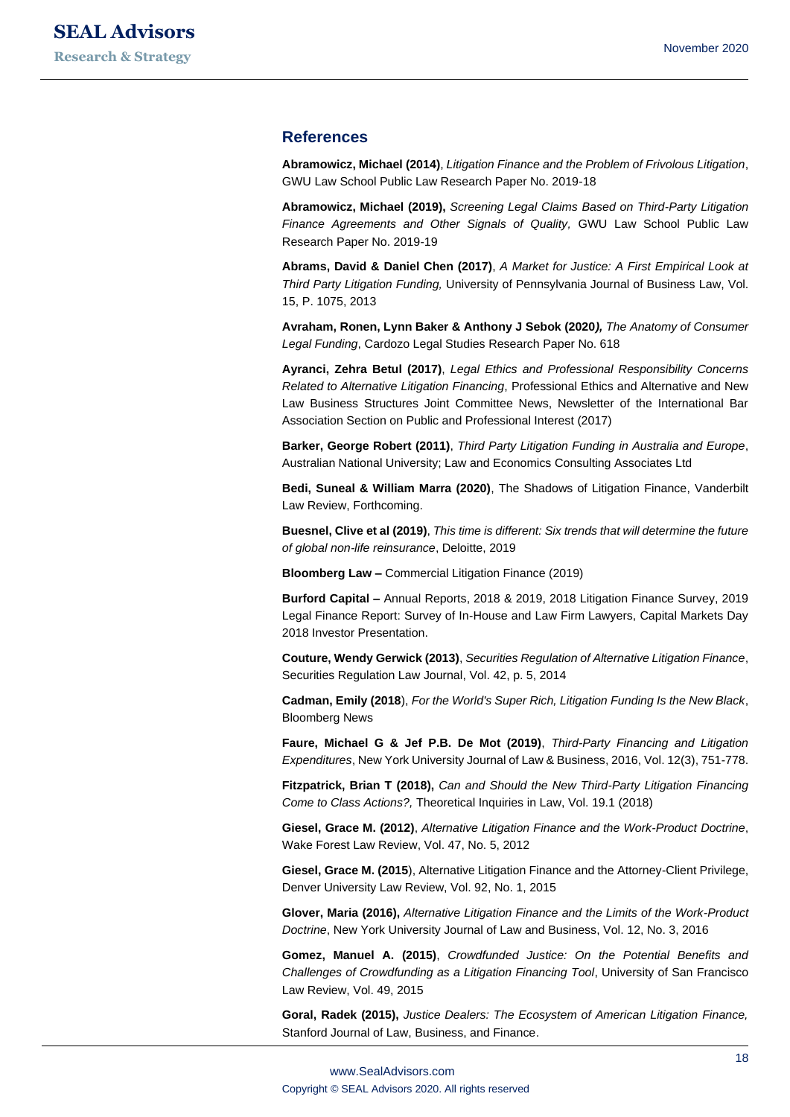## **References**

**Abramowicz, Michael (2014)**, *Litigation Finance and the Problem of Frivolous Litigation*, GWU Law School Public Law Research Paper No. 2019-18

**Abramowicz, Michael (2019),** *Screening Legal Claims Based on Third-Party Litigation Finance Agreements and Other Signals of Quality,* GWU Law School Public Law Research Paper No. 2019-19

**Abrams, David & Daniel Chen (2017)**, *A Market for Justice: A First Empirical Look at Third Party Litigation Funding,* University of Pennsylvania Journal of Business Law, Vol. 15, P. 1075, 2013

**Avraham, Ronen, Lynn Baker & Anthony J Sebok (2020***), The Anatomy of Consumer Legal Funding*, Cardozo Legal Studies Research Paper No. 618

**Ayranci, Zehra Betul (2017)**, *Legal Ethics and Professional Responsibility Concerns Related to Alternative Litigation Financing*, Professional Ethics and Alternative and New Law Business Structures Joint Committee News, Newsletter of the International Bar Association Section on Public and Professional Interest (2017)

**Barker, George Robert (2011)**, *Third Party Litigation Funding in Australia and Europe*, Australian National University; Law and Economics Consulting Associates Ltd

**Bedi, Suneal & William Marra (2020)**, The Shadows of Litigation Finance, Vanderbilt Law Review, Forthcoming.

**Buesnel, Clive et al (2019)**, *This time is different: Six trends that will determine the future of global non-life reinsurance*, Deloitte, 2019

**Bloomberg Law –** Commercial Litigation Finance (2019)

**Burford Capital –** Annual Reports, 2018 & 2019, 2018 Litigation Finance Survey, 2019 Legal Finance Report: Survey of In-House and Law Firm Lawyers, Capital Markets Day 2018 Investor Presentation.

**Couture, Wendy Gerwick (2013)**, *Securities Regulation of Alternative Litigation Finance*, Securities Regulation Law Journal, Vol. 42, p. 5, 2014

**Cadman, Emily (2018**), *For the World's Super Rich, Litigation Funding Is the New Black*, Bloomberg News

**Faure, Michael G & Jef P.B. De Mot (2019)**, *Third-Party Financing and Litigation Expenditures*, New York University Journal of Law & Business, 2016, Vol. 12(3), 751-778.

**Fitzpatrick, Brian T (2018),** *Can and Should the New Third-Party Litigation Financing Come to Class Actions?,* Theoretical Inquiries in Law, Vol. 19.1 (2018)

**Giesel, Grace M. (2012)**, *Alternative Litigation Finance and the Work-Product Doctrine*, Wake Forest Law Review, Vol. 47, No. 5, 2012

**Giesel, Grace M. (2015**), Alternative Litigation Finance and the Attorney-Client Privilege, Denver University Law Review, Vol. 92, No. 1, 2015

**Glover, Maria (2016),** *Alternative Litigation Finance and the Limits of the Work-Product Doctrine*, New York University Journal of Law and Business, Vol. 12, No. 3, 2016

**Gomez, Manuel A. (2015)**, *Crowdfunded Justice: On the Potential Benefits and Challenges of Crowdfunding as a Litigation Financing Tool*, University of San Francisco Law Review, Vol. 49, 2015

**Goral, Radek (2015),** *Justice Dealers: The Ecosystem of American Litigation Finance,*  Stanford Journal of Law, Business, and Finance.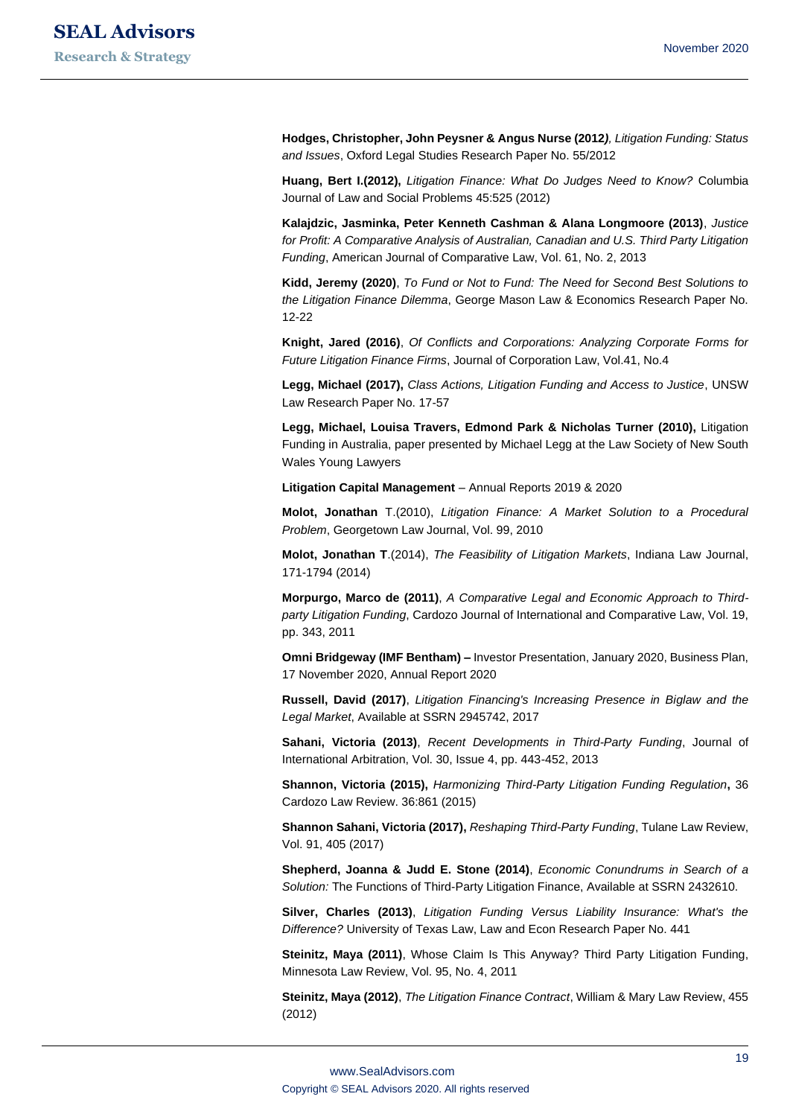**Hodges, Christopher, John Peysner & Angus Nurse (2012***), Litigation Funding: Status and Issues*, Oxford Legal Studies Research Paper No. 55/2012

**Huang, Bert I.(2012),** *Litigation Finance: What Do Judges Need to Know?* Columbia Journal of Law and Social Problems 45:525 (2012)

**Kalajdzic, Jasminka, Peter Kenneth Cashman & Alana Longmoore (2013)**, *Justice for Profit: A Comparative Analysis of Australian, Canadian and U.S. Third Party Litigation Funding*, American Journal of Comparative Law, Vol. 61, No. 2, 2013

**Kidd, Jeremy (2020)**, *To Fund or Not to Fund: The Need for Second Best Solutions to the Litigation Finance Dilemma*, George Mason Law & Economics Research Paper No. 12-22

**Knight, Jared (2016)**, *Of Conflicts and Corporations: Analyzing Corporate Forms for Future Litigation Finance Firms*, Journal of Corporation Law, Vol.41, No.4

**Legg, Michael (2017),** *Class Actions, Litigation Funding and Access to Justice*, UNSW Law Research Paper No. 17-57

**Legg, Michael, Louisa Travers, Edmond Park & Nicholas Turner (2010),** Litigation Funding in Australia, paper presented by Michael Legg at the Law Society of New South Wales Young Lawyers

**Litigation Capital Management** – Annual Reports 2019 & 2020

**Molot, Jonathan** T.(2010), *Litigation Finance: A Market Solution to a Procedural Problem*, Georgetown Law Journal, Vol. 99, 2010

**Molot, Jonathan T**.(2014), *The Feasibility of Litigation Markets*, Indiana Law Journal, 171-1794 (2014)

**Morpurgo, Marco de (2011)**, *A Comparative Legal and Economic Approach to Thirdparty Litigation Funding*, Cardozo Journal of International and Comparative Law, Vol. 19, pp. 343, 2011

**Omni Bridgeway (IMF Bentham) –** Investor Presentation, January 2020, Business Plan, 17 November 2020, Annual Report 2020

**Russell, David (2017)**, *Litigation Financing's Increasing Presence in Biglaw and the Legal Market*, Available at SSRN 2945742, 2017

**Sahani, Victoria (2013)**, *Recent Developments in Third-Party Funding*, Journal of International Arbitration, Vol. 30, Issue 4, pp. 443-452, 2013

**Shannon, Victoria (2015),** *Harmonizing Third-Party Litigation Funding Regulation***,** 36 Cardozo Law Review. 36:861 (2015)

**Shannon Sahani, Victoria (2017),** *Reshaping Third-Party Funding*, Tulane Law Review, Vol. 91, 405 (2017)

**Shepherd, Joanna & Judd E. Stone (2014)**, *Economic Conundrums in Search of a Solution:* The Functions of Third-Party Litigation Finance, Available at SSRN 2432610.

**Silver, Charles (2013)**, *Litigation Funding Versus Liability Insurance: What's the Difference?* University of Texas Law, Law and Econ Research Paper No. 441

**Steinitz, Maya (2011)**, Whose Claim Is This Anyway? Third Party Litigation Funding, Minnesota Law Review, Vol. 95, No. 4, 2011

**Steinitz, Maya (2012)**, *The Litigation Finance Contract*, William & Mary Law Review, 455 (2012)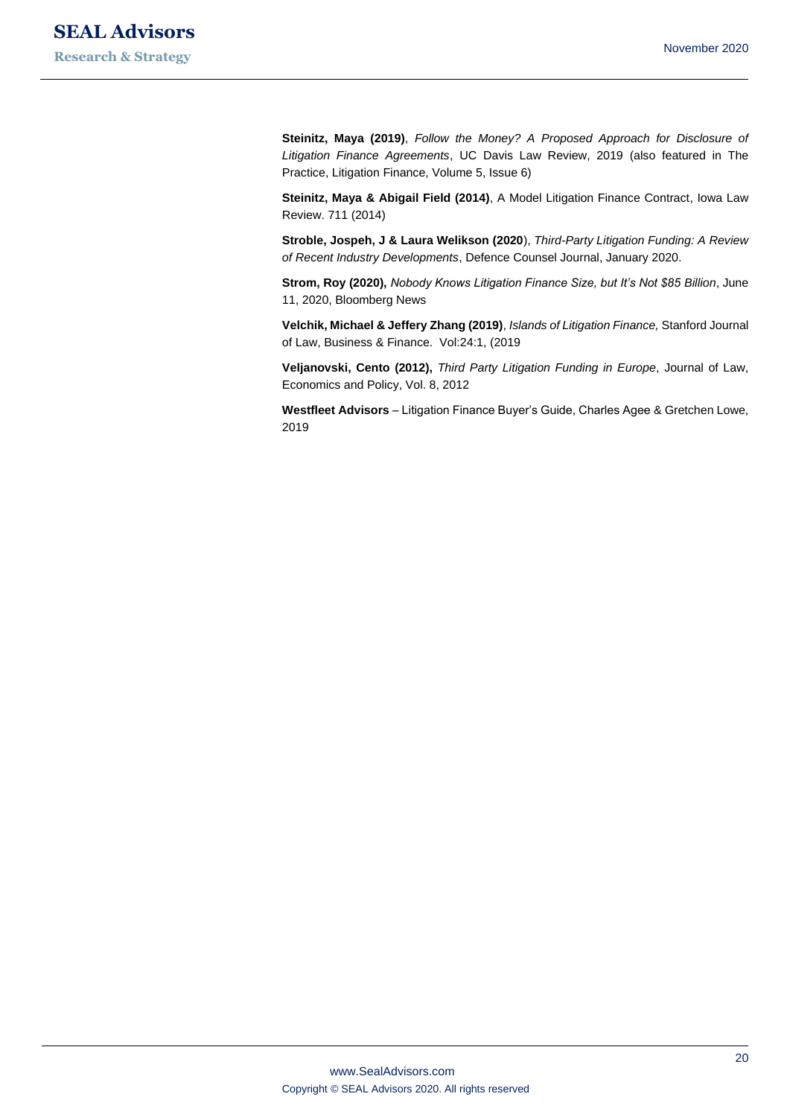**Steinitz, Maya (2019)**, *Follow the Money? A Proposed Approach for Disclosure of Litigation Finance Agreements*, UC Davis Law Review, 2019 (also featured in The Practice, Litigation Finance, Volume 5, Issue 6)

**Steinitz, Maya & Abigail Field (2014)**, A Model Litigation Finance Contract, Iowa Law Review. 711 (2014)

**Stroble, Jospeh, J & Laura Welikson (2020**), *Third-Party Litigation Funding: A Review of Recent Industry Developments*, Defence Counsel Journal, January 2020.

**Strom, Roy (2020),** *Nobody Knows Litigation Finance Size, but It's Not \$85 Billion*, June 11, 2020, Bloomberg News

**Velchik, Michael & Jeffery Zhang (2019)**, *Islands of Litigation Finance,* Stanford Journal of Law, Business & Finance. Vol:24:1, (2019

**Veljanovski, Cento (2012),** *Third Party Litigation Funding in Europe*, Journal of Law, Economics and Policy, Vol. 8, 2012

**Westfleet Advisors** – Litigation Finance Buyer's Guide, Charles Agee & Gretchen Lowe, 2019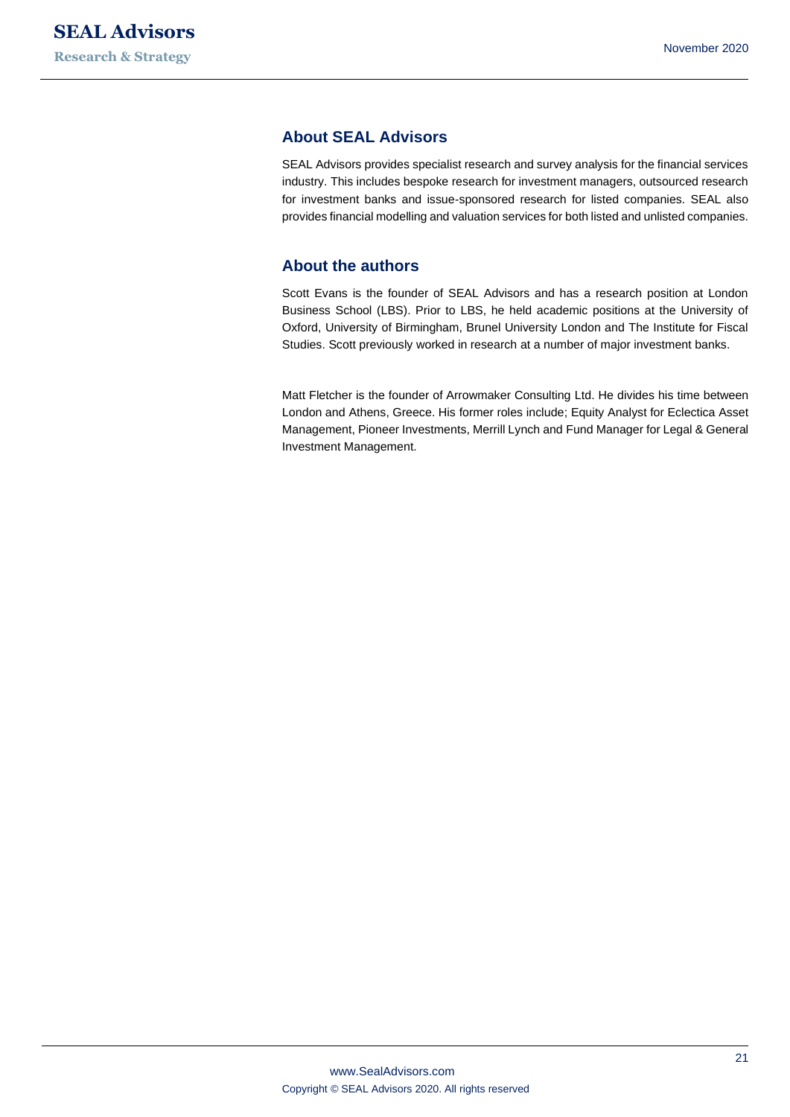## **About SEAL Advisors**

SEAL Advisors provides specialist research and survey analysis for the financial services industry. This includes bespoke research for investment managers, outsourced research for investment banks and issue-sponsored research for listed companies. SEAL also provides financial modelling and valuation services for both listed and unlisted companies.

## **About the authors**

Scott Evans is the founder of SEAL Advisors and has a research position at London Business School (LBS). Prior to LBS, he held academic positions at the University of Oxford, University of Birmingham, Brunel University London and The Institute for Fiscal Studies. Scott previously worked in research at a number of major investment banks.

Matt Fletcher is the founder of Arrowmaker Consulting Ltd. He divides his time between London and Athens, Greece. His former roles include; Equity Analyst for Eclectica Asset Management, Pioneer Investments, Merrill Lynch and Fund Manager for Legal & General Investment Management.